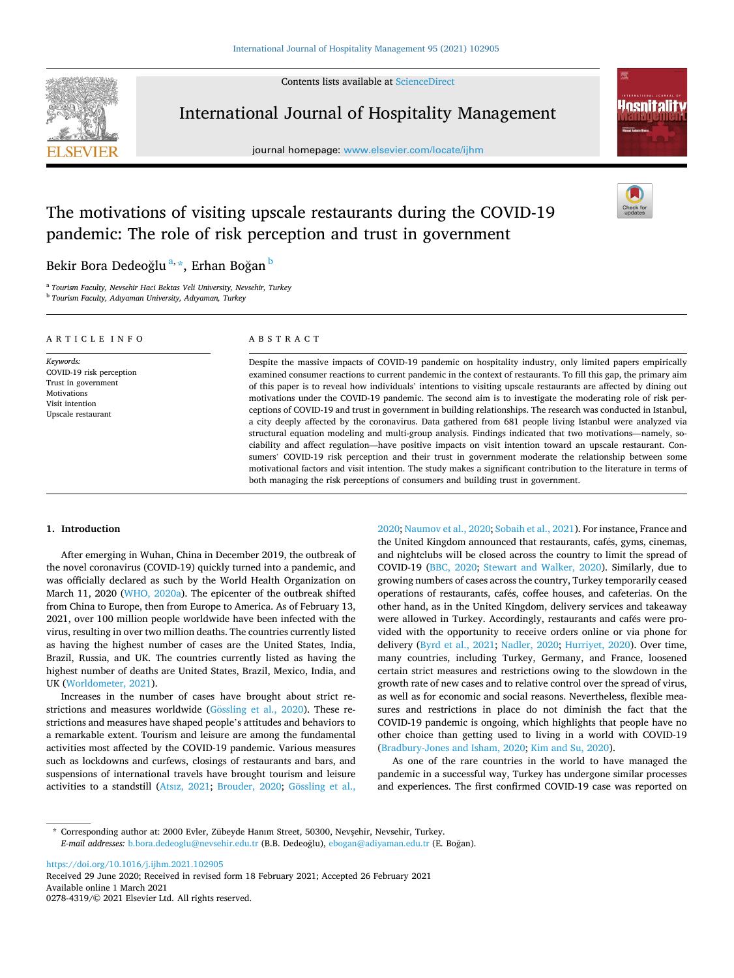Contents lists available at [ScienceDirect](www.sciencedirect.com/science/journal/02784319)



International Journal of Hospitality Management

journal homepage: [www.elsevier.com/locate/ijhm](https://www.elsevier.com/locate/ijhm) 



# The motivations of visiting upscale restaurants during the COVID-19 pandemic: The role of risk perception and trust in government

# Bekir Bora Dedeoğlu<sup>a,</sup>\*, Erhan Boğan <sup>b</sup>

<sup>a</sup> *Tourism Faculty, Nevsehir Haci Bektas Veli University, Nevsehir, Turkey* 

<sup>b</sup> *Tourism Faculty, Adıyaman University, Adıyaman, Turkey* 

| ARTICLE INFO                                                                                                         | ABSTRACT                                                                                                                                                                                                                                                                                                                                                                                                                                                                                                                                                                                                                                                                                                                                                                                                                                                                                                                                                                                                                                |
|----------------------------------------------------------------------------------------------------------------------|-----------------------------------------------------------------------------------------------------------------------------------------------------------------------------------------------------------------------------------------------------------------------------------------------------------------------------------------------------------------------------------------------------------------------------------------------------------------------------------------------------------------------------------------------------------------------------------------------------------------------------------------------------------------------------------------------------------------------------------------------------------------------------------------------------------------------------------------------------------------------------------------------------------------------------------------------------------------------------------------------------------------------------------------|
| Keywords:<br>COVID-19 risk perception<br>Trust in government<br>Motivations<br>Visit intention<br>Upscale restaurant | Despite the massive impacts of COVID-19 pandemic on hospitality industry, only limited papers empirically<br>examined consumer reactions to current pandemic in the context of restaurants. To fill this gap, the primary aim<br>of this paper is to reveal how individuals' intentions to visiting upscale restaurants are affected by dining out<br>motivations under the COVID-19 pandemic. The second aim is to investigate the moderating role of risk per-<br>ceptions of COVID-19 and trust in government in building relationships. The research was conducted in Istanbul,<br>a city deeply affected by the coronavirus. Data gathered from 681 people living Istanbul were analyzed via<br>structural equation modeling and multi-group analysis. Findings indicated that two motivations—namely, so-<br>ciability and affect regulation—have positive impacts on visit intention toward an upscale restaurant. Con-<br>sumers' COVID-19 risk perception and their trust in government moderate the relationship between some |

# **1. Introduction**

After emerging in Wuhan, China in December 2019, the outbreak of the novel coronavirus (COVID-19) quickly turned into a pandemic, and was officially declared as such by the World Health Organization on March 11, 2020 ([WHO, 2020a](#page-10-0)). The epicenter of the outbreak shifted from China to Europe, then from Europe to America. As of February 13, 2021, over 100 million people worldwide have been infected with the virus, resulting in over two million deaths. The countries currently listed as having the highest number of cases are the United States, India, Brazil, Russia, and UK. The countries currently listed as having the highest number of deaths are United States, Brazil, Mexico, India, and UK ([Worldometer, 2021\)](#page-10-0).

Increases in the number of cases have brought about strict restrictions and measures worldwide ( $G\ddot{o}$ ssling [et al., 2020](#page-9-0)). These restrictions and measures have shaped people's attitudes and behaviors to a remarkable extent. Tourism and leisure are among the fundamental activities most affected by the COVID-19 pandemic. Various measures such as lockdowns and curfews, closings of restaurants and bars, and suspensions of international travels have brought tourism and leisure activities to a standstill ([Atsız, 2021;](#page-8-0) [Brouder, 2020;](#page-8-0) Gössling et al., [2020; Naumov et al., 2020](#page-9-0); [Sobaih et al., 2021](#page-9-0)). For instance, France and the United Kingdom announced that restaurants, cafés, gyms, cinemas, and nightclubs will be closed across the country to limit the spread of COVID-19 ([BBC, 2020](#page-8-0); [Stewart and Walker, 2020](#page-9-0)). Similarly, due to growing numbers of cases across the country, Turkey temporarily ceased operations of restaurants, cafés, coffee houses, and cafeterias. On the other hand, as in the United Kingdom, delivery services and takeaway were allowed in Turkey. Accordingly, restaurants and cafés were provided with the opportunity to receive orders online or via phone for delivery [\(Byrd et al., 2021;](#page-8-0) [Nadler, 2020;](#page-9-0) [Hurriyet, 2020\)](#page-9-0). Over time, many countries, including Turkey, Germany, and France, loosened certain strict measures and restrictions owing to the slowdown in the growth rate of new cases and to relative control over the spread of virus, as well as for economic and social reasons. Nevertheless, flexible measures and restrictions in place do not diminish the fact that the COVID-19 pandemic is ongoing, which highlights that people have no other choice than getting used to living in a world with COVID-19 ([Bradbury-Jones and Isham, 2020](#page-8-0); [Kim and Su, 2020](#page-9-0)).

motivational factors and visit intention. The study makes a significant contribution to the literature in terms of

both managing the risk perceptions of consumers and building trust in government.

As one of the rare countries in the world to have managed the pandemic in a successful way, Turkey has undergone similar processes and experiences. The first confirmed COVID-19 case was reported on

<https://doi.org/10.1016/j.ijhm.2021.102905>

Available online 1 March 2021 0278-4319/© 2021 Elsevier Ltd. All rights reserved. Received 29 June 2020; Received in revised form 18 February 2021; Accepted 26 February 2021

<sup>\*</sup> Corresponding author at: 2000 Evler, Zübeyde Hanım Street, 50300, Nevsehir, Nevsehir, Turkey. *E-mail addresses: [b.bora.dedeoglu@nevsehir.edu.tr](mailto:b.bora.dedeoglu@nevsehir.edu.tr) (B.B. Dedeoğlu), [ebogan@adiyaman.edu.tr](mailto:ebogan@adiyaman.edu.tr) (E. Boğan).*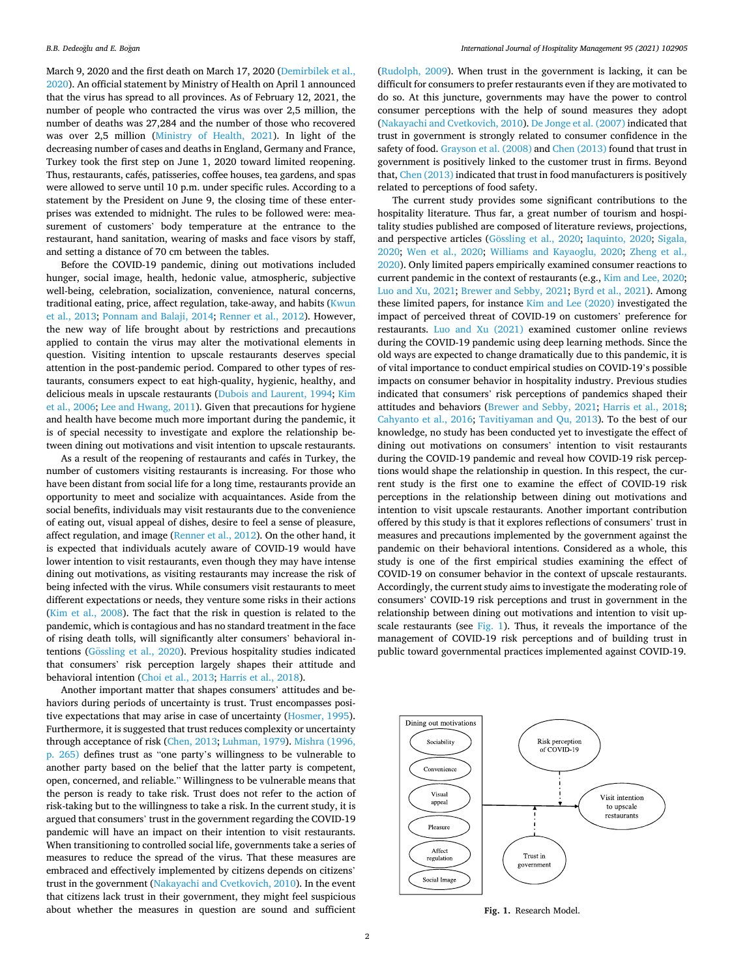March 9, 2020 and the first death on March 17, 2020 [\(Demirbilek et al.,](#page-8-0)  [2020\)](#page-8-0). An official statement by Ministry of Health on April 1 announced that the virus has spread to all provinces. As of February 12, 2021, the number of people who contracted the virus was over 2,5 million, the number of deaths was 27,284 and the number of those who recovered was over 2,5 million [\(Ministry of Health, 2021\)](#page-9-0). In light of the decreasing number of cases and deaths in England, Germany and France, Turkey took the first step on June 1, 2020 toward limited reopening. Thus, restaurants, cafés, patisseries, coffee houses, tea gardens, and spas were allowed to serve until 10 p.m. under specific rules. According to a statement by the President on June 9, the closing time of these enterprises was extended to midnight. The rules to be followed were: measurement of customers' body temperature at the entrance to the restaurant, hand sanitation, wearing of masks and face visors by staff, and setting a distance of 70 cm between the tables.

Before the COVID-19 pandemic, dining out motivations included hunger, social image, health, hedonic value, atmospheric, subjective well-being, celebration, socialization, convenience, natural concerns, traditional eating, price, affect regulation, take-away, and habits [\(Kwun](#page-9-0)  [et al., 2013](#page-9-0); [Ponnam and Balaji, 2014](#page-9-0); [Renner et al., 2012\)](#page-9-0). However, the new way of life brought about by restrictions and precautions applied to contain the virus may alter the motivational elements in question. Visiting intention to upscale restaurants deserves special attention in the post-pandemic period. Compared to other types of restaurants, consumers expect to eat high-quality, hygienic, healthy, and delicious meals in upscale restaurants [\(Dubois and Laurent, 1994;](#page-8-0) [Kim](#page-9-0)  [et al., 2006; Lee and Hwang, 2011\)](#page-9-0). Given that precautions for hygiene and health have become much more important during the pandemic, it is of special necessity to investigate and explore the relationship between dining out motivations and visit intention to upscale restaurants.

As a result of the reopening of restaurants and cafés in Turkey, the number of customers visiting restaurants is increasing. For those who have been distant from social life for a long time, restaurants provide an opportunity to meet and socialize with acquaintances. Aside from the social benefits, individuals may visit restaurants due to the convenience of eating out, visual appeal of dishes, desire to feel a sense of pleasure, affect regulation, and image [\(Renner et al., 2012\)](#page-9-0). On the other hand, it is expected that individuals acutely aware of COVID-19 would have lower intention to visit restaurants, even though they may have intense dining out motivations, as visiting restaurants may increase the risk of being infected with the virus. While consumers visit restaurants to meet different expectations or needs, they venture some risks in their actions ([Kim et al., 2008\)](#page-9-0). The fact that the risk in question is related to the pandemic, which is contagious and has no standard treatment in the face of rising death tolls, will significantly alter consumers' behavioral intentions (Gössling [et al., 2020](#page-9-0)). Previous hospitality studies indicated that consumers' risk perception largely shapes their attitude and behavioral intention ([Choi et al., 2013;](#page-8-0) [Harris et al., 2018\)](#page-9-0).

Another important matter that shapes consumers' attitudes and behaviors during periods of uncertainty is trust. Trust encompasses positive expectations that may arise in case of uncertainty ([Hosmer, 1995](#page-9-0)). Furthermore, it is suggested that trust reduces complexity or uncertainty through acceptance of risk ([Chen, 2013](#page-8-0); [Luhman, 1979\)](#page-9-0). [Mishra \(1996,](#page-9-0)  [p. 265\)](#page-9-0) defines trust as "one party's willingness to be vulnerable to another party based on the belief that the latter party is competent, open, concerned, and reliable." Willingness to be vulnerable means that the person is ready to take risk. Trust does not refer to the action of risk-taking but to the willingness to take a risk. In the current study, it is argued that consumers' trust in the government regarding the COVID-19 pandemic will have an impact on their intention to visit restaurants. When transitioning to controlled social life, governments take a series of measures to reduce the spread of the virus. That these measures are embraced and effectively implemented by citizens depends on citizens' trust in the government ([Nakayachi and Cvetkovich, 2010](#page-9-0)). In the event that citizens lack trust in their government, they might feel suspicious about whether the measures in question are sound and sufficient

([Rudolph, 2009](#page-9-0)). When trust in the government is lacking, it can be difficult for consumers to prefer restaurants even if they are motivated to do so. At this juncture, governments may have the power to control consumer perceptions with the help of sound measures they adopt ([Nakayachi and Cvetkovich, 2010](#page-9-0)). [De Jonge et al. \(2007\)](#page-8-0) indicated that trust in government is strongly related to consumer confidence in the safety of food. [Grayson et al. \(2008\)](#page-9-0) and [Chen \(2013\)](#page-8-0) found that trust in government is positively linked to the customer trust in firms. Beyond that, [Chen \(2013\)](#page-8-0) indicated that trust in food manufacturers is positively related to perceptions of food safety.

The current study provides some significant contributions to the hospitality literature. Thus far, a great number of tourism and hospitality studies published are composed of literature reviews, projections, and perspective articles (Gössling [et al., 2020](#page-9-0); [Iaquinto, 2020;](#page-9-0) Sigala, [2020;](#page-9-0) [Wen et al., 2020](#page-9-0); [Williams and Kayaoglu, 2020;](#page-10-0) [Zheng et al.,](#page-10-0)  [2020\)](#page-10-0). Only limited papers empirically examined consumer reactions to current pandemic in the context of restaurants (e.g., [Kim and Lee, 2020](#page-9-0); [Luo and Xu, 2021;](#page-9-0) [Brewer and Sebby, 2021;](#page-8-0) [Byrd et al., 2021\)](#page-8-0). Among these limited papers, for instance [Kim and Lee \(2020\)](#page-9-0) investigated the impact of perceived threat of COVID-19 on customers' preference for restaurants. [Luo and Xu \(2021\)](#page-9-0) examined customer online reviews during the COVID-19 pandemic using deep learning methods. Since the old ways are expected to change dramatically due to this pandemic, it is of vital importance to conduct empirical studies on COVID-19's possible impacts on consumer behavior in hospitality industry. Previous studies indicated that consumers' risk perceptions of pandemics shaped their attitudes and behaviors [\(Brewer and Sebby, 2021](#page-8-0); [Harris et al., 2018](#page-9-0); [Cahyanto et al., 2016;](#page-8-0) [Tavitiyaman and Qu, 2013](#page-9-0)). To the best of our knowledge, no study has been conducted yet to investigate the effect of dining out motivations on consumers' intention to visit restaurants during the COVID-19 pandemic and reveal how COVID-19 risk perceptions would shape the relationship in question. In this respect, the current study is the first one to examine the effect of COVID-19 risk perceptions in the relationship between dining out motivations and intention to visit upscale restaurants. Another important contribution offered by this study is that it explores reflections of consumers' trust in measures and precautions implemented by the government against the pandemic on their behavioral intentions. Considered as a whole, this study is one of the first empirical studies examining the effect of COVID-19 on consumer behavior in the context of upscale restaurants. Accordingly, the current study aims to investigate the moderating role of consumers' COVID-19 risk perceptions and trust in government in the relationship between dining out motivations and intention to visit upscale restaurants (see Fig. 1). Thus, it reveals the importance of the management of COVID-19 risk perceptions and of building trust in public toward governmental practices implemented against COVID-19.



**Fig. 1.** Research Model.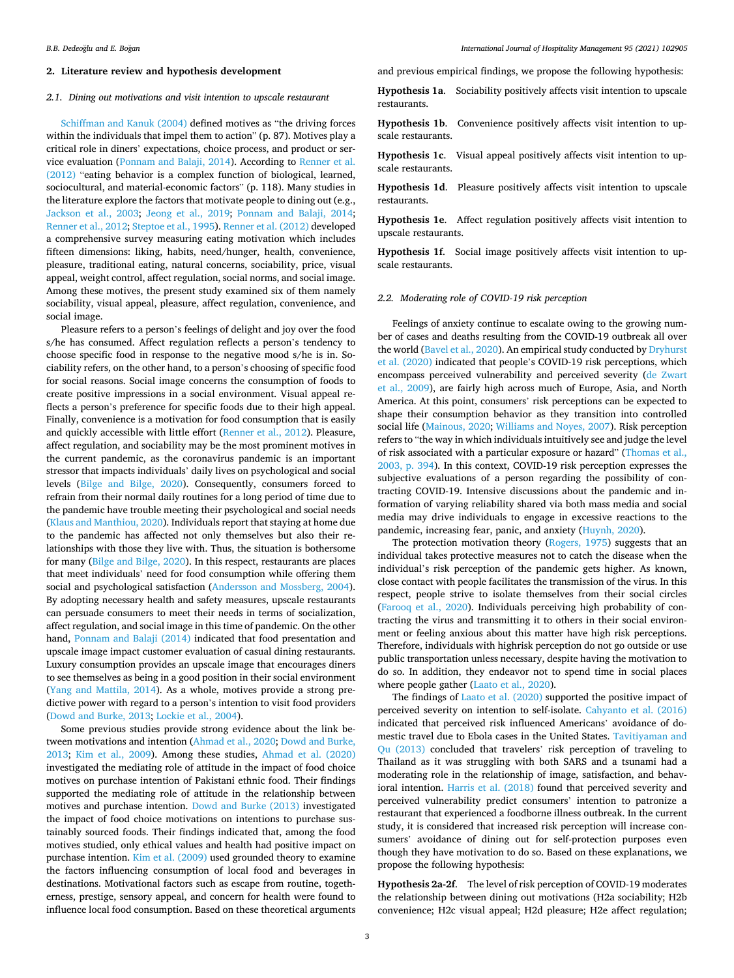# **2. Literature review and hypothesis development**

# *2.1. Dining out motivations and visit intention to upscale restaurant*

[Schiffman and Kanuk \(2004\)](#page-9-0) defined motives as "the driving forces within the individuals that impel them to action" (p. 87). Motives play a critical role in diners' expectations, choice process, and product or service evaluation [\(Ponnam and Balaji, 2014](#page-9-0)). According to [Renner et al.](#page-9-0)  [\(2012\)](#page-9-0) "eating behavior is a complex function of biological, learned, sociocultural, and material-economic factors" (p. 118). Many studies in the literature explore the factors that motivate people to dining out (e.g., [Jackson et al., 2003;](#page-9-0) [Jeong et al., 2019;](#page-9-0) [Ponnam and Balaji, 2014](#page-9-0); [Renner et al., 2012](#page-9-0); [Steptoe et al., 1995](#page-9-0)). [Renner et al. \(2012\)](#page-9-0) developed a comprehensive survey measuring eating motivation which includes fifteen dimensions: liking, habits, need/hunger, health, convenience, pleasure, traditional eating, natural concerns, sociability, price, visual appeal, weight control, affect regulation, social norms, and social image. Among these motives, the present study examined six of them namely sociability, visual appeal, pleasure, affect regulation, convenience, and social image.

Pleasure refers to a person's feelings of delight and joy over the food s/he has consumed. Affect regulation reflects a person's tendency to choose specific food in response to the negative mood s/he is in. Sociability refers, on the other hand, to a person's choosing of specific food for social reasons. Social image concerns the consumption of foods to create positive impressions in a social environment. Visual appeal reflects a person's preference for specific foods due to their high appeal. Finally, convenience is a motivation for food consumption that is easily and quickly accessible with little effort [\(Renner et al., 2012](#page-9-0)). Pleasure, affect regulation, and sociability may be the most prominent motives in the current pandemic, as the coronavirus pandemic is an important stressor that impacts individuals' daily lives on psychological and social levels [\(Bilge and Bilge, 2020](#page-8-0)). Consequently, consumers forced to refrain from their normal daily routines for a long period of time due to the pandemic have trouble meeting their psychological and social needs ([Klaus and Manthiou, 2020](#page-9-0)). Individuals report that staying at home due to the pandemic has affected not only themselves but also their relationships with those they live with. Thus, the situation is bothersome for many ([Bilge and Bilge, 2020](#page-8-0)). In this respect, restaurants are places that meet individuals' need for food consumption while offering them social and psychological satisfaction [\(Andersson and Mossberg, 2004](#page-8-0)). By adopting necessary health and safety measures, upscale restaurants can persuade consumers to meet their needs in terms of socialization, affect regulation, and social image in this time of pandemic. On the other hand, [Ponnam and Balaji \(2014\)](#page-9-0) indicated that food presentation and upscale image impact customer evaluation of casual dining restaurants. Luxury consumption provides an upscale image that encourages diners to see themselves as being in a good position in their social environment ([Yang and Mattila, 2014\)](#page-10-0). As a whole, motives provide a strong predictive power with regard to a person's intention to visit food providers ([Dowd and Burke, 2013](#page-8-0); [Lockie et al., 2004](#page-9-0)).

Some previous studies provide strong evidence about the link between motivations and intention ([Ahmad et al., 2020; Dowd and Burke,](#page-8-0)  [2013;](#page-8-0) [Kim et al., 2009\)](#page-9-0). Among these studies, [Ahmad et al. \(2020\)](#page-8-0)  investigated the mediating role of attitude in the impact of food choice motives on purchase intention of Pakistani ethnic food. Their findings supported the mediating role of attitude in the relationship between motives and purchase intention. [Dowd and Burke \(2013\)](#page-8-0) investigated the impact of food choice motivations on intentions to purchase sustainably sourced foods. Their findings indicated that, among the food motives studied, only ethical values and health had positive impact on purchase intention. [Kim et al. \(2009\)](#page-9-0) used grounded theory to examine the factors influencing consumption of local food and beverages in destinations. Motivational factors such as escape from routine, togetherness, prestige, sensory appeal, and concern for health were found to influence local food consumption. Based on these theoretical arguments

and previous empirical findings, we propose the following hypothesis:

**Hypothesis 1a**. Sociability positively affects visit intention to upscale restaurants.

**Hypothesis 1b**. Convenience positively affects visit intention to upscale restaurants.

**Hypothesis 1c**. Visual appeal positively affects visit intention to upscale restaurants.

**Hypothesis 1d**. Pleasure positively affects visit intention to upscale restaurants.

**Hypothesis 1e**. Affect regulation positively affects visit intention to upscale restaurants.

**Hypothesis 1f**. Social image positively affects visit intention to upscale restaurants.

# *2.2. Moderating role of COVID-19 risk perception*

Feelings of anxiety continue to escalate owing to the growing number of cases and deaths resulting from the COVID-19 outbreak all over the world ([Bavel et al., 2020](#page-8-0)). An empirical study conducted by [Dryhurst](#page-8-0)  [et al. \(2020\)](#page-8-0) indicated that people's COVID-19 risk perceptions, which encompass perceived vulnerability and perceived severity ([de Zwart](#page-8-0)  [et al., 2009](#page-8-0)), are fairly high across much of Europe, Asia, and North America. At this point, consumers' risk perceptions can be expected to shape their consumption behavior as they transition into controlled social life ([Mainous, 2020](#page-9-0); [Williams and Noyes, 2007](#page-10-0)). Risk perception refers to "the way in which individuals intuitively see and judge the level of risk associated with a particular exposure or hazard" ([Thomas et al.,](#page-9-0)  [2003, p. 394](#page-9-0)). In this context, COVID-19 risk perception expresses the subjective evaluations of a person regarding the possibility of contracting COVID-19. Intensive discussions about the pandemic and information of varying reliability shared via both mass media and social media may drive individuals to engage in excessive reactions to the pandemic, increasing fear, panic, and anxiety ([Huynh, 2020](#page-9-0)).

The protection motivation theory ([Rogers, 1975](#page-9-0)) suggests that an individual takes protective measures not to catch the disease when the individual's risk perception of the pandemic gets higher. As known, close contact with people facilitates the transmission of the virus. In this respect, people strive to isolate themselves from their social circles ([Farooq et al., 2020\)](#page-8-0). Individuals perceiving high probability of contracting the virus and transmitting it to others in their social environment or feeling anxious about this matter have high risk perceptions. Therefore, individuals with highrisk perception do not go outside or use public transportation unless necessary, despite having the motivation to do so. In addition, they endeavor not to spend time in social places where people gather [\(Laato et al., 2020\)](#page-9-0).

The findings of [Laato et al. \(2020\)](#page-9-0) supported the positive impact of perceived severity on intention to self-isolate. [Cahyanto et al. \(2016\)](#page-8-0)  indicated that perceived risk influenced Americans' avoidance of domestic travel due to Ebola cases in the United States. [Tavitiyaman and](#page-9-0)  [Qu \(2013\)](#page-9-0) concluded that travelers' risk perception of traveling to Thailand as it was struggling with both SARS and a tsunami had a moderating role in the relationship of image, satisfaction, and behavioral intention. [Harris et al. \(2018\)](#page-9-0) found that perceived severity and perceived vulnerability predict consumers' intention to patronize a restaurant that experienced a foodborne illness outbreak. In the current study, it is considered that increased risk perception will increase consumers' avoidance of dining out for self-protection purposes even though they have motivation to do so. Based on these explanations, we propose the following hypothesis:

**Hypothesis 2a-2f**. The level of risk perception of COVID-19 moderates the relationship between dining out motivations (H2a sociability; H2b convenience; H2c visual appeal; H2d pleasure; H2e affect regulation;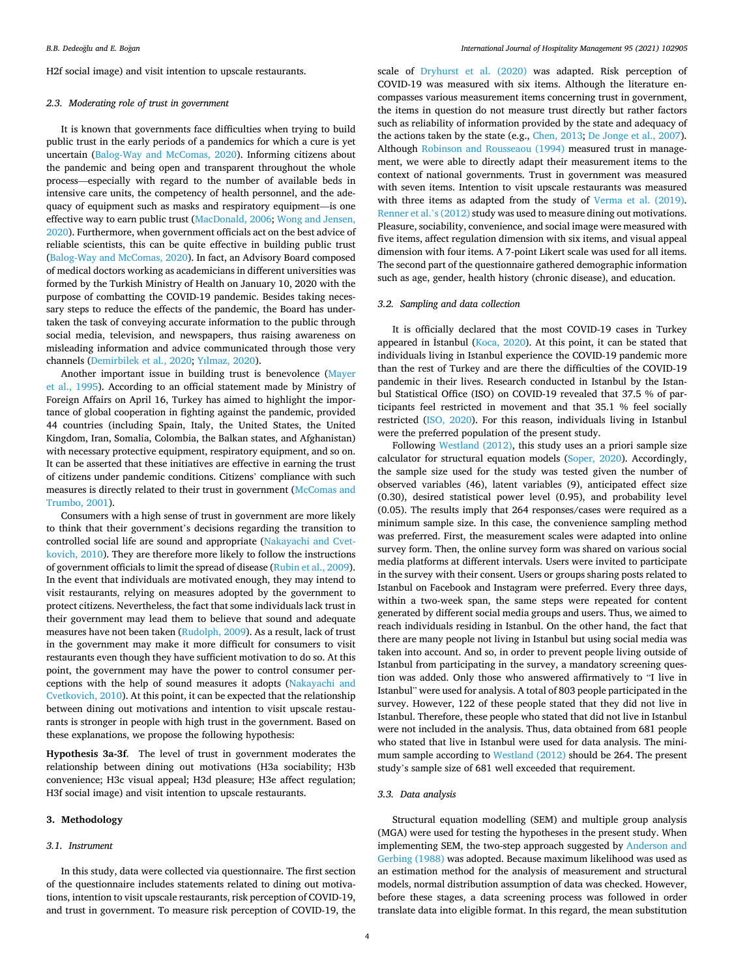H2f social image) and visit intention to upscale restaurants.

# *2.3. Moderating role of trust in government*

It is known that governments face difficulties when trying to build public trust in the early periods of a pandemics for which a cure is yet uncertain [\(Balog-Way and McComas, 2020](#page-8-0)). Informing citizens about the pandemic and being open and transparent throughout the whole process—especially with regard to the number of available beds in intensive care units, the competency of health personnel, and the adequacy of equipment such as masks and respiratory equipment—is one effective way to earn public trust [\(MacDonald, 2006;](#page-9-0) [Wong and Jensen,](#page-10-0)  [2020\)](#page-10-0). Furthermore, when government officials act on the best advice of reliable scientists, this can be quite effective in building public trust ([Balog-Way and McComas, 2020](#page-8-0)). In fact, an Advisory Board composed of medical doctors working as academicians in different universities was formed by the Turkish Ministry of Health on January 10, 2020 with the purpose of combatting the COVID-19 pandemic. Besides taking necessary steps to reduce the effects of the pandemic, the Board has undertaken the task of conveying accurate information to the public through social media, television, and newspapers, thus raising awareness on misleading information and advice communicated through those very channels ([Demirbilek et al., 2020;](#page-8-0) [Yılmaz, 2020](#page-10-0)).

Another important issue in building trust is benevolence [\(Mayer](#page-9-0)  [et al., 1995\)](#page-9-0). According to an official statement made by Ministry of Foreign Affairs on April 16, Turkey has aimed to highlight the importance of global cooperation in fighting against the pandemic, provided 44 countries (including Spain, Italy, the United States, the United Kingdom, Iran, Somalia, Colombia, the Balkan states, and Afghanistan) with necessary protective equipment, respiratory equipment, and so on. It can be asserted that these initiatives are effective in earning the trust of citizens under pandemic conditions. Citizens' compliance with such measures is directly related to their trust in government [\(McComas and](#page-9-0)  [Trumbo, 2001](#page-9-0)).

Consumers with a high sense of trust in government are more likely to think that their government's decisions regarding the transition to controlled social life are sound and appropriate [\(Nakayachi and Cvet](#page-9-0)[kovich, 2010\)](#page-9-0). They are therefore more likely to follow the instructions of government officials to limit the spread of disease [\(Rubin et al., 2009](#page-9-0)). In the event that individuals are motivated enough, they may intend to visit restaurants, relying on measures adopted by the government to protect citizens. Nevertheless, the fact that some individuals lack trust in their government may lead them to believe that sound and adequate measures have not been taken ([Rudolph, 2009\)](#page-9-0). As a result, lack of trust in the government may make it more difficult for consumers to visit restaurants even though they have sufficient motivation to do so. At this point, the government may have the power to control consumer perceptions with the help of sound measures it adopts ([Nakayachi and](#page-9-0)  [Cvetkovich, 2010](#page-9-0)). At this point, it can be expected that the relationship between dining out motivations and intention to visit upscale restaurants is stronger in people with high trust in the government. Based on these explanations, we propose the following hypothesis:

**Hypothesis 3a-3f**. The level of trust in government moderates the relationship between dining out motivations (H3a sociability; H3b convenience; H3c visual appeal; H3d pleasure; H3e affect regulation; H3f social image) and visit intention to upscale restaurants.

## **3. Methodology**

# *3.1. Instrument*

In this study, data were collected via questionnaire. The first section of the questionnaire includes statements related to dining out motivations, intention to visit upscale restaurants, risk perception of COVID-19, and trust in government. To measure risk perception of COVID-19, the

scale of [Dryhurst et al. \(2020\)](#page-8-0) was adapted. Risk perception of COVID-19 was measured with six items. Although the literature encompasses various measurement items concerning trust in government, the items in question do not measure trust directly but rather factors such as reliability of information provided by the state and adequacy of the actions taken by the state (e.g., [Chen, 2013;](#page-8-0) [De Jonge et al., 2007](#page-8-0)). Although [Robinson and Rousseaou \(1994\)](#page-9-0) measured trust in management, we were able to directly adapt their measurement items to the context of national governments. Trust in government was measured with seven items. Intention to visit upscale restaurants was measured with three items as adapted from the study of [Verma et al. \(2019\)](#page-9-0). [Renner et al.](#page-9-0)'s (2012) study was used to measure dining out motivations. Pleasure, sociability, convenience, and social image were measured with five items, affect regulation dimension with six items, and visual appeal dimension with four items. A 7-point Likert scale was used for all items. The second part of the questionnaire gathered demographic information such as age, gender, health history (chronic disease), and education.

# *3.2. Sampling and data collection*

It is officially declared that the most COVID-19 cases in Turkey appeared in İstanbul ( $Koca$ , 2020). At this point, it can be stated that individuals living in Istanbul experience the COVID-19 pandemic more than the rest of Turkey and are there the difficulties of the COVID-19 pandemic in their lives. Research conducted in Istanbul by the Istanbul Statistical Office (ISO) on COVID-19 revealed that 37.5 % of participants feel restricted in movement and that 35.1 % feel socially restricted [\(ISO, 2020\)](#page-9-0). For this reason, individuals living in Istanbul were the preferred population of the present study.

Following [Westland \(2012\),](#page-9-0) this study uses an a priori sample size calculator for structural equation models [\(Soper, 2020](#page-9-0)). Accordingly, the sample size used for the study was tested given the number of observed variables (46), latent variables (9), anticipated effect size (0.30), desired statistical power level (0.95), and probability level (0.05). The results imply that 264 responses/cases were required as a minimum sample size. In this case, the convenience sampling method was preferred. First, the measurement scales were adapted into online survey form. Then, the online survey form was shared on various social media platforms at different intervals. Users were invited to participate in the survey with their consent. Users or groups sharing posts related to Istanbul on Facebook and Instagram were preferred. Every three days, within a two-week span, the same steps were repeated for content generated by different social media groups and users. Thus, we aimed to reach individuals residing in Istanbul. On the other hand, the fact that there are many people not living in Istanbul but using social media was taken into account. And so, in order to prevent people living outside of Istanbul from participating in the survey, a mandatory screening question was added. Only those who answered affirmatively to "I live in Istanbul" were used for analysis. A total of 803 people participated in the survey. However, 122 of these people stated that they did not live in Istanbul. Therefore, these people who stated that did not live in Istanbul were not included in the analysis. Thus, data obtained from 681 people who stated that live in Istanbul were used for data analysis. The minimum sample according to [Westland \(2012\)](#page-9-0) should be 264. The present study's sample size of 681 well exceeded that requirement.

## *3.3. Data analysis*

Structural equation modelling (SEM) and multiple group analysis (MGA) were used for testing the hypotheses in the present study. When implementing SEM, the two-step approach suggested by [Anderson and](#page-8-0)  [Gerbing \(1988\)](#page-8-0) was adopted. Because maximum likelihood was used as an estimation method for the analysis of measurement and structural models, normal distribution assumption of data was checked. However, before these stages, a data screening process was followed in order translate data into eligible format. In this regard, the mean substitution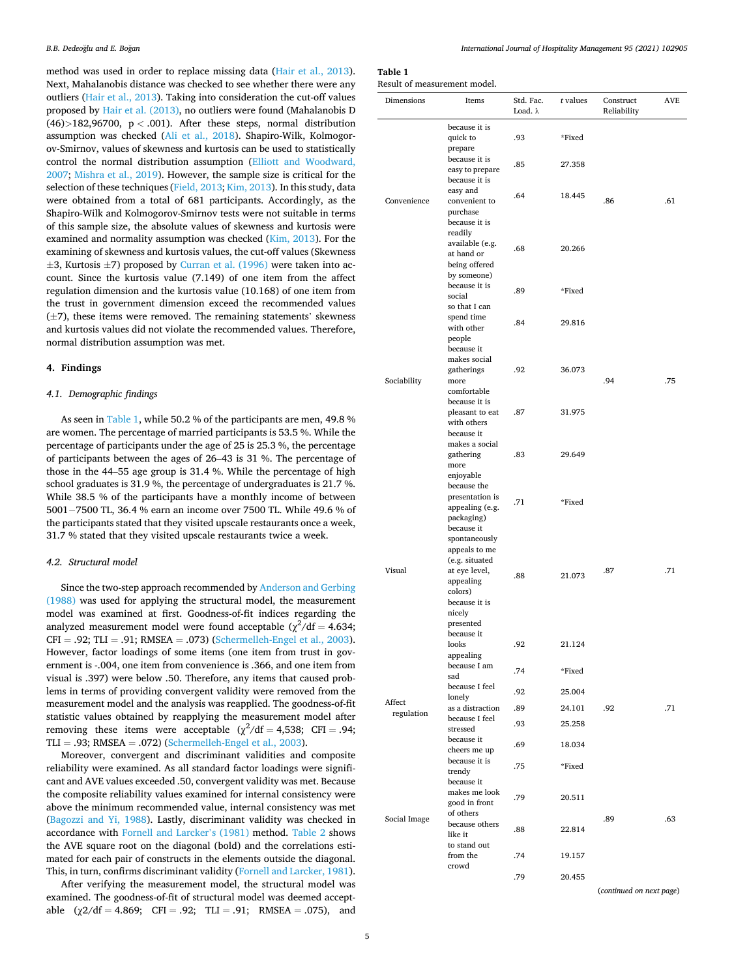method was used in order to replace missing data ([Hair et al., 2013](#page-9-0)). Next, Mahalanobis distance was checked to see whether there were any outliers [\(Hair et al., 2013](#page-9-0)). Taking into consideration the cut-off values proposed by [Hair et al. \(2013\)](#page-9-0), no outliers were found (Mahalanobis D (46)*>*182,96700, p *<* .001). After these steps, normal distribution assumption was checked ([Ali et al., 2018\)](#page-8-0). Shapiro-Wilk, Kolmogorov-Smirnov, values of skewness and kurtosis can be used to statistically control the normal distribution assumption ([Elliott and Woodward,](#page-8-0)  [2007;](#page-8-0) [Mishra et al., 2019](#page-9-0)). However, the sample size is critical for the selection of these techniques [\(Field, 2013](#page-8-0); [Kim, 2013](#page-9-0)). In this study, data were obtained from a total of 681 participants. Accordingly, as the Shapiro-Wilk and Kolmogorov-Smirnov tests were not suitable in terms of this sample size, the absolute values of skewness and kurtosis were examined and normality assumption was checked ([Kim, 2013\)](#page-9-0). For the examining of skewness and kurtosis values, the cut-off values (Skewness  $\pm$ 3, Kurtosis  $\pm$ 7) proposed by [Curran et al. \(1996\)](#page-8-0) were taken into account. Since the kurtosis value (7.149) of one item from the affect regulation dimension and the kurtosis value (10.168) of one item from the trust in government dimension exceed the recommended values  $(\pm 7)$ , these items were removed. The remaining statements' skewness and kurtosis values did not violate the recommended values. Therefore, normal distribution assumption was met.

# **4. Findings**

# *4.1. Demographic findings*

As seen in Table 1, while 50.2 % of the participants are men, 49.8 % are women. The percentage of married participants is 53.5 %. While the percentage of participants under the age of 25 is 25.3 %, the percentage of participants between the ages of 26–43 is 31 %. The percentage of those in the 44–55 age group is 31.4 %. While the percentage of high school graduates is 31.9 %, the percentage of undergraduates is 21.7 %. While 38.5 % of the participants have a monthly income of between 5001− 7500 TL, 36.4 % earn an income over 7500 TL. While 49.6 % of the participants stated that they visited upscale restaurants once a week, 31.7 % stated that they visited upscale restaurants twice a week.

# *4.2. Structural model*

Since the two-step approach recommended by [Anderson and Gerbing](#page-8-0)  [\(1988\)](#page-8-0) was used for applying the structural model, the measurement model was examined at first. Goodness-of-fit indices regarding the analyzed measurement model were found acceptable  $(\chi^2/df = 4.634;$  $CFI = .92$ ; TLI = .91; RMSEA = .073) [\(Schermelleh-Engel et al., 2003](#page-9-0)). However, factor loadings of some items (one item from trust in government is -.004, one item from convenience is .366, and one item from visual is .397) were below .50. Therefore, any items that caused problems in terms of providing convergent validity were removed from the measurement model and the analysis was reapplied. The goodness-of-fit statistic values obtained by reapplying the measurement model after removing these items were acceptable  $(\chi^2/\text{df} = 4.538; \text{ CFI} = .94;$ TLI = .93; RMSEA = .072) ([Schermelleh-Engel et al., 2003\)](#page-9-0).

Moreover, convergent and discriminant validities and composite reliability were examined. As all standard factor loadings were significant and AVE values exceeded .50, convergent validity was met. Because the composite reliability values examined for internal consistency were above the minimum recommended value, internal consistency was met ([Bagozzi and Yi, 1988](#page-8-0)). Lastly, discriminant validity was checked in accordance with [Fornell and Larcker](#page-8-0)'s (1981) method. [Table 2](#page-6-0) shows the AVE square root on the diagonal (bold) and the correlations estimated for each pair of constructs in the elements outside the diagonal. This, in turn, confirms discriminant validity ([Fornell and Larcker, 1981](#page-8-0)).

After verifying the measurement model, the structural model was examined. The goodness-of-fit of structural model was deemed acceptable  $(\chi 2/df = 4.869; CFI = .92; TLI = .91; RMSEA = .075)$ , and

# **Table 1**

Result of measurement model.

| Dimensions           | Items                                                                                                                                           | Std. Fac.<br>Load. λ | t values | Construct<br>Reliability | <b>AVE</b> |
|----------------------|-------------------------------------------------------------------------------------------------------------------------------------------------|----------------------|----------|--------------------------|------------|
|                      | because it is<br>quick to<br>prepare                                                                                                            | .93                  | *Fixed   |                          |            |
| Convenience          | because it is<br>easy to prepare<br>because it is                                                                                               | .85                  | 27.358   |                          |            |
|                      | easy and<br>convenient to<br>purchase                                                                                                           | .64                  | 18.445   | .86                      | .61        |
|                      | because it is<br>readily<br>available (e.g.<br>at hand or                                                                                       | .68                  | 20.266   |                          |            |
|                      | being offered<br>by someone)<br>because it is<br>social<br>so that I can                                                                        | .89                  | *Fixed   |                          |            |
|                      | spend time<br>with other<br>people                                                                                                              | .84                  | 29.816   |                          |            |
| Sociability          | because it<br>makes social<br>gatherings<br>more                                                                                                | .92                  | 36.073   | .94                      | .75        |
|                      | comfortable<br>because it is<br>pleasant to eat<br>with others                                                                                  | .87                  | 31.975   |                          |            |
|                      | because it<br>makes a social<br>gathering<br>more<br>enjoyable                                                                                  | .83                  | 29.649   |                          |            |
|                      | because the<br>presentation is<br>appealing (e.g.<br>packaging)                                                                                 | .71                  | *Fixed   |                          |            |
| Visual               | because it<br>spontaneously<br>appeals to me<br>(e.g. situated<br>at eye level,<br>appealing<br>colors)<br>because it is<br>nicely<br>presented | .88                  | 21.073   | .87                      | .71        |
|                      | because it<br>looks<br>appealing                                                                                                                | .92                  | 21.124   |                          |            |
|                      | because I am<br>sad                                                                                                                             | .74                  | *Fixed   |                          |            |
|                      | because I feel<br>lonely                                                                                                                        | .92                  | 25.004   |                          |            |
| Affect<br>regulation | as a distraction<br>because I feel                                                                                                              | .89                  | 24.101   | .92                      | .71        |
|                      | stressed                                                                                                                                        | .93                  | 25.258   |                          |            |
|                      | because it<br>cheers me up<br>because it is                                                                                                     | .69                  | 18.034   |                          |            |
|                      | trendy<br>because it<br>makes me look                                                                                                           | .75                  | *Fixed   |                          |            |
|                      | good in front<br>of others                                                                                                                      | .79                  | 20.511   | .89                      | .63        |
| Social Image         | because others<br>like it                                                                                                                       | .88                  | 22.814   |                          |            |
|                      | to stand out<br>from the<br>crowd                                                                                                               | .74                  | 19.157   |                          |            |
|                      |                                                                                                                                                 | .79                  | 20.455   | (continued on next page) |            |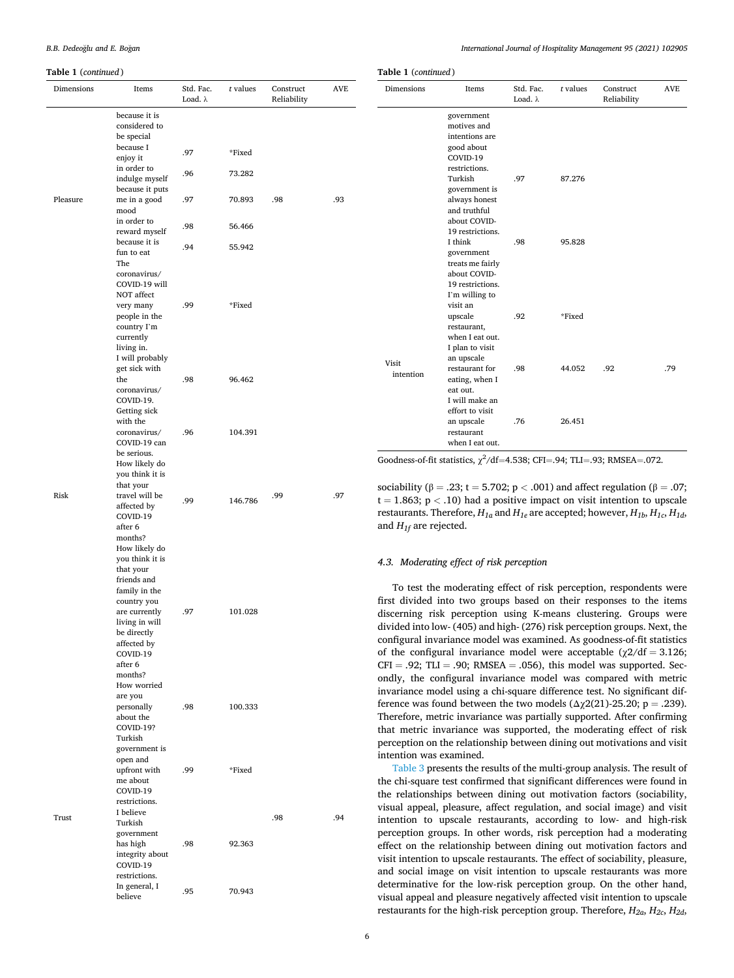| <b>Table 1</b> (continued) |                                  |                              |          |                          |            | <b>Table 1</b> (continued)                                              |                                                                                                       |                              |          |                          |     |
|----------------------------|----------------------------------|------------------------------|----------|--------------------------|------------|-------------------------------------------------------------------------|-------------------------------------------------------------------------------------------------------|------------------------------|----------|--------------------------|-----|
| Dimensions                 | Items                            | Std. Fac.<br>Load. $\lambda$ | t values | Construct<br>Reliability | <b>AVE</b> | Dimensions                                                              | Items                                                                                                 | Std. Fac.<br>Load. $\lambda$ | t values | Construct<br>Reliability | AVE |
|                            | because it is                    |                              |          |                          |            |                                                                         | government                                                                                            |                              |          |                          |     |
|                            | considered to                    |                              |          |                          |            |                                                                         | motives and                                                                                           |                              |          |                          |     |
|                            | be special                       |                              |          |                          |            |                                                                         | intentions are                                                                                        |                              |          |                          |     |
|                            | because I                        | .97                          | *Fixed   |                          |            |                                                                         | good about                                                                                            |                              |          |                          |     |
|                            | enjoy it                         |                              |          |                          |            |                                                                         | COVID-19                                                                                              |                              |          |                          |     |
|                            | in order to                      | .96                          | 73.282   |                          |            |                                                                         | restrictions.                                                                                         |                              |          |                          |     |
|                            | indulge myself                   |                              |          |                          |            |                                                                         | Turkish                                                                                               | .97                          | 87.276   |                          |     |
|                            | because it puts                  |                              |          |                          |            |                                                                         | government is                                                                                         |                              |          |                          |     |
| Pleasure                   | me in a good                     | .97                          | 70.893   | .98                      | .93        |                                                                         | always honest                                                                                         |                              |          |                          |     |
|                            | mood                             |                              |          |                          |            |                                                                         | and truthful                                                                                          |                              |          |                          |     |
|                            | in order to                      | .98                          | 56.466   |                          |            |                                                                         | about COVID-                                                                                          |                              |          |                          |     |
|                            | reward myself                    |                              |          |                          |            |                                                                         | 19 restrictions.                                                                                      |                              |          |                          |     |
|                            | because it is                    | .94                          | 55.942   |                          |            |                                                                         | I think                                                                                               | .98                          | 95.828   |                          |     |
|                            | fun to eat                       |                              |          |                          |            |                                                                         | government                                                                                            |                              |          |                          |     |
|                            | The<br>coronavirus/              |                              |          |                          |            |                                                                         | treats me fairly<br>about COVID-                                                                      |                              |          |                          |     |
|                            | COVID-19 will                    |                              |          |                          |            |                                                                         | 19 restrictions.                                                                                      |                              |          |                          |     |
|                            | NOT affect                       |                              |          |                          |            |                                                                         | I'm willing to                                                                                        |                              |          |                          |     |
|                            | very many                        | .99                          | *Fixed   |                          |            |                                                                         | visit an                                                                                              |                              |          |                          |     |
|                            | people in the                    |                              |          |                          |            |                                                                         | upscale                                                                                               | .92                          | *Fixed   |                          |     |
|                            | country I'm                      |                              |          |                          |            |                                                                         | restaurant,                                                                                           |                              |          |                          |     |
|                            | currently                        |                              |          |                          |            |                                                                         | when I eat out.                                                                                       |                              |          |                          |     |
|                            | living in.                       |                              |          |                          |            |                                                                         | I plan to visit                                                                                       |                              |          |                          |     |
|                            | I will probably                  |                              |          |                          |            | Visit                                                                   | an upscale                                                                                            |                              |          |                          |     |
|                            | get sick with                    |                              |          |                          |            | intention                                                               | restaurant for                                                                                        | .98                          | 44.052   | .92                      | .79 |
|                            | the                              | .98                          | 96.462   |                          |            |                                                                         | eating, when I                                                                                        |                              |          |                          |     |
|                            | coronavirus/                     |                              |          |                          |            |                                                                         | eat out.                                                                                              |                              |          |                          |     |
|                            | COVID-19.                        |                              |          |                          |            |                                                                         | I will make an                                                                                        |                              |          |                          |     |
|                            | Getting sick                     |                              |          |                          |            |                                                                         | effort to visit                                                                                       |                              |          |                          |     |
|                            | with the                         |                              |          |                          |            |                                                                         | an upscale                                                                                            | .76                          | 26.451   |                          |     |
|                            | coronavirus/                     | .96                          | 104.391  |                          |            |                                                                         | restaurant                                                                                            |                              |          |                          |     |
|                            | COVID-19 can                     |                              |          |                          |            |                                                                         | when I eat out.                                                                                       |                              |          |                          |     |
|                            | be serious.                      |                              |          |                          |            |                                                                         | Goodness-of-fit statistics, $\chi^2$ /df=4.538; CFI=.94; TLI=.93; RMSEA=.072.                         |                              |          |                          |     |
|                            | How likely do<br>you think it is |                              |          |                          |            |                                                                         |                                                                                                       |                              |          |                          |     |
|                            | that your                        |                              |          |                          |            |                                                                         |                                                                                                       |                              |          |                          |     |
| Risk                       | travel will be                   |                              |          | .99                      | .97        |                                                                         | sociability ( $\beta = .23$ ; t = 5.702; p < .001) and affect regulation ( $\beta = .07$ ;            |                              |          |                          |     |
|                            | affected by                      | .99                          | 146.786  |                          |            |                                                                         | $t = 1.863$ ; $p < .10$ ) had a positive impact on visit intention to upscale                         |                              |          |                          |     |
|                            | COVID-19                         |                              |          |                          |            |                                                                         | restaurants. Therefore, $H_{1a}$ and $H_{1e}$ are accepted; however, $H_{1b}$ , $H_{1c}$ , $H_{1d}$ , |                              |          |                          |     |
|                            | after 6                          |                              |          |                          |            | and $H_{1f}$ are rejected.                                              |                                                                                                       |                              |          |                          |     |
|                            | months?                          |                              |          |                          |            |                                                                         |                                                                                                       |                              |          |                          |     |
|                            | How likely do                    |                              |          |                          |            |                                                                         |                                                                                                       |                              |          |                          |     |
|                            | you think it is                  |                              |          |                          |            |                                                                         | 4.3. Moderating effect of risk perception                                                             |                              |          |                          |     |
|                            | that your                        |                              |          |                          |            |                                                                         |                                                                                                       |                              |          |                          |     |
|                            | friends and                      |                              |          |                          |            |                                                                         |                                                                                                       |                              |          |                          |     |
|                            | family in the                    |                              |          |                          |            |                                                                         | To test the moderating effect of risk perception, respondents were                                    |                              |          |                          |     |
|                            | country you                      |                              |          |                          |            |                                                                         | first divided into two groups based on their responses to the items                                   |                              |          |                          |     |
|                            | are currently                    | .97                          | 101.028  |                          |            |                                                                         | discerning risk perception using K-means clustering. Groups were                                      |                              |          |                          |     |
|                            | living in will                   |                              |          |                          |            |                                                                         | divided into low- (405) and high- (276) risk perception groups. Next, the                             |                              |          |                          |     |
|                            | be directly<br>affected by       |                              |          |                          |            |                                                                         | configural invariance model was examined. As goodness-of-fit statistics                               |                              |          |                          |     |
|                            | COVID-19                         |                              |          |                          |            |                                                                         | of the configural invariance model were acceptable $(\chi 2/df = 3.126)$ ;                            |                              |          |                          |     |
|                            | after 6                          |                              |          |                          |            |                                                                         | $CFI = .92$ ; TLI = .90; RMSEA = .056), this model was supported. Sec-                                |                              |          |                          |     |
|                            | months?                          |                              |          |                          |            |                                                                         |                                                                                                       |                              |          |                          |     |
|                            | How worried                      |                              |          |                          |            |                                                                         | ondly, the configural invariance model was compared with metric                                       |                              |          |                          |     |
|                            | are you                          |                              |          |                          |            |                                                                         | invariance model using a chi-square difference test. No significant dif-                              |                              |          |                          |     |
|                            | personally                       | .98                          | 100.333  |                          |            |                                                                         | ference was found between the two models $(\Delta \chi^2)(21)$ -25.20; p = .239).                     |                              |          |                          |     |
|                            | about the                        |                              |          |                          |            |                                                                         | Therefore, metric invariance was partially supported. After confirming                                |                              |          |                          |     |
|                            | COVID-19?                        |                              |          |                          |            |                                                                         | that metric invariance was supported, the moderating effect of risk                                   |                              |          |                          |     |
|                            | Turkish                          |                              |          |                          |            |                                                                         |                                                                                                       |                              |          |                          |     |
|                            | government is                    |                              |          |                          |            | perception on the relationship between dining out motivations and visit |                                                                                                       |                              |          |                          |     |

Trust

open and upfront with me about COVID-19 restrictions.

Turkish government has high integrity about COVID-19 restrictions.

In general, I

.99 \*Fixed

.98 92.363

m general, 1 .95 70.943

.98 .94 I believe

intention was examined. [Table 3](#page-6-0) presents the results of the multi-group analysis. The result of the chi-square test confirmed that significant differences were found in the relationships between dining out motivation factors (sociability, visual appeal, pleasure, affect regulation, and social image) and visit intention to upscale restaurants, according to low- and high-risk perception groups. In other words, risk perception had a moderating effect on the relationship between dining out motivation factors and visit intention to upscale restaurants. The effect of sociability, pleasure, and social image on visit intention to upscale restaurants was more determinative for the low-risk perception group. On the other hand, visual appeal and pleasure negatively affected visit intention to upscale restaurants for the high-risk perception group. Therefore, *H2a*, *H2c*, *H2d*,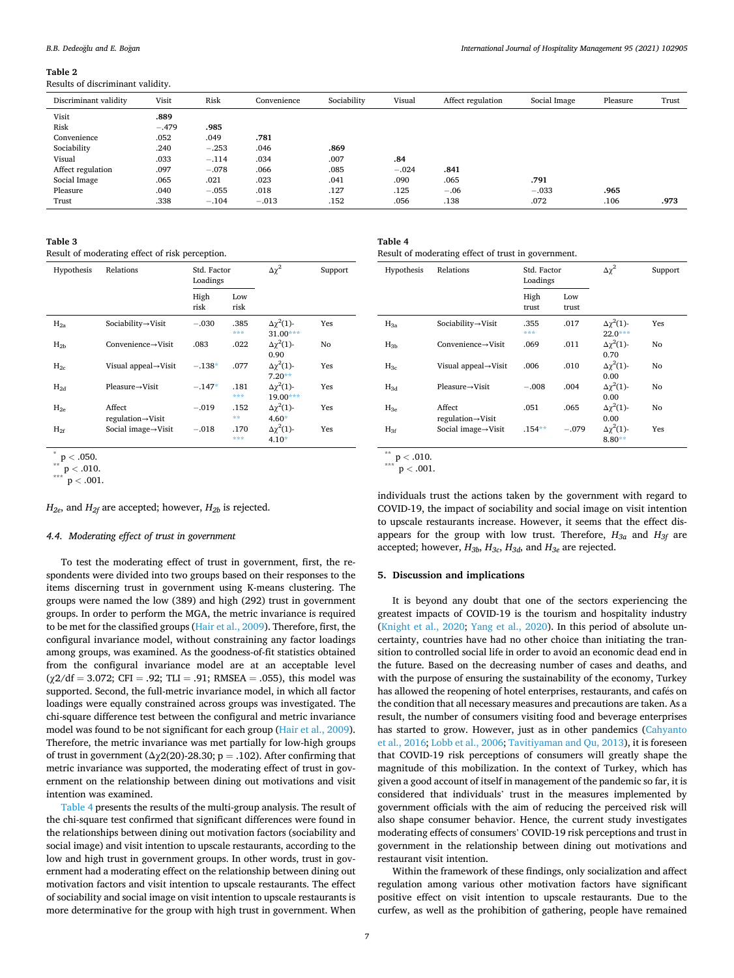#### <span id="page-6-0"></span>**Table 2**

Results of discriminant validity.

| Discriminant validity | Visit   | Risk    | Convenience | Sociability | Visual  | Affect regulation | Social Image | Pleasure | Trust |
|-----------------------|---------|---------|-------------|-------------|---------|-------------------|--------------|----------|-------|
| Visit                 | .889    |         |             |             |         |                   |              |          |       |
| Risk                  | $-.479$ | .985    |             |             |         |                   |              |          |       |
| Convenience           | .052    | .049    | .781        |             |         |                   |              |          |       |
| Sociability           | .240    | $-.253$ | .046        | .869        |         |                   |              |          |       |
| Visual                | .033    | $-.114$ | .034        | .007        | .84     |                   |              |          |       |
| Affect regulation     | .097    | $-.078$ | .066        | .085        | $-.024$ | .841              |              |          |       |
| Social Image          | .065    | .021    | .023        | .041        | .090    | .065              | .791         |          |       |
| Pleasure              | .040    | $-.055$ | .018        | .127        | .125    | $-.06$            | $-.033$      | .965     |       |
| Trust                 | .338    | $-.104$ | $-.013$     | .152        | .056    | .138              | .072         | .106     | .973  |
|                       |         |         |             |             |         |                   |              |          |       |

**Table 3** 

Result of moderating effect of risk perception.

| Hypothesis | Relations                                | Std. Factor<br>Loadings |             | $\Delta\gamma^2$                    | Support |
|------------|------------------------------------------|-------------------------|-------------|-------------------------------------|---------|
|            |                                          | High<br>risk            | Low<br>risk |                                     |         |
| $H_{2a}$   | Sociability→Visit                        | $-.030$                 | .385<br>*** | $\Delta\gamma^2(1)$ -<br>$31.00***$ | Yes     |
| $H_{2h}$   | Convenience $\rightarrow$ Visit          | .083                    | .022        | $\Delta\gamma^2(1)$ -<br>0.90       | No      |
| $H_{2c}$   | Visual appeal $\rightarrow$ Visit        | $-.138*$                | .077        | $\Delta\gamma^2(1)$ -<br>$7.20**$   | Yes     |
| $H_{2d}$   | $Pleaseure \rightarrow Visit$            | $-.147*$                | .181<br>*** | $\Delta\gamma^2(1)$ -<br>$19.00***$ | Yes     |
| $H_{2e}$   | Affect<br>$regulation \rightarrow Visit$ | $-.019$                 | .152<br>**  | $\Delta\gamma^2(1)$ -<br>$4.60*$    | Yes     |
| $H_{2f}$   | Social image $\rightarrow$ Visit         | $-.018$                 | .170<br>*** | $\Delta\gamma^2(1)$ -<br>$4.10*$    | Yes     |

 $H_{2e}$ , and  $H_{2f}$  are accepted; however,  $H_{2b}$  is rejected.

#### *4.4. Moderating effect of trust in government*

To test the moderating effect of trust in government, first, the respondents were divided into two groups based on their responses to the items discerning trust in government using K-means clustering. The groups were named the low (389) and high (292) trust in government groups. In order to perform the MGA, the metric invariance is required to be met for the classified groups ([Hair et al., 2009\)](#page-9-0). Therefore, first, the configural invariance model, without constraining any factor loadings among groups, was examined. As the goodness-of-fit statistics obtained from the configural invariance model are at an acceptable level  $(\chi 2/df = 3.072;$  CFI = .92; TLI = .91; RMSEA = .055), this model was supported. Second, the full-metric invariance model, in which all factor loadings were equally constrained across groups was investigated. The chi-square difference test between the configural and metric invariance model was found to be not significant for each group ([Hair et al., 2009](#page-9-0)). Therefore, the metric invariance was met partially for low-high groups of trust in government ( $\Delta \chi$ 2(20)-28.30; p = .102). After confirming that metric invariance was supported, the moderating effect of trust in government on the relationship between dining out motivations and visit intention was examined.

Table 4 presents the results of the multi-group analysis. The result of the chi-square test confirmed that significant differences were found in the relationships between dining out motivation factors (sociability and social image) and visit intention to upscale restaurants, according to the low and high trust in government groups. In other words, trust in government had a moderating effect on the relationship between dining out motivation factors and visit intention to upscale restaurants. The effect of sociability and social image on visit intention to upscale restaurants is more determinative for the group with high trust in government. When

| Table 4                                             |  |  |
|-----------------------------------------------------|--|--|
| Result of moderating effect of trust in government. |  |  |

| Hypothesis | Relations                                | Std. Factor<br>Loadings |              | $\Delta \chi^2$                    | Support |
|------------|------------------------------------------|-------------------------|--------------|------------------------------------|---------|
|            |                                          | High<br>trust           | Low<br>trust |                                    |         |
| $H_{3a}$   | Sociability $\rightarrow$ Visit          | .355<br>***             | .017         | $\Delta\gamma^2(1)$ -<br>$22.0***$ | Yes     |
| $H_{3h}$   | $Convenience \rightarrow Visit$          | .069                    | .011         | $\Delta\gamma^2(1)$ -<br>0.70      | No      |
| $H_{3c}$   | Visual appeal $\rightarrow$ Visit        | .006                    | .010         | $\Delta\gamma^2(1)$ -<br>0.00      | No      |
| $H_{3d}$   | $Pleaseure \rightarrow Visit$            | $-.008$                 | .004         | $\Delta\chi^2(1)$ -<br>0.00        | No      |
| $H_{3e}$   | Affect<br>$regularion \rightarrow Visit$ | .051                    | .065         | $\Delta\gamma^2(1)$ -<br>0.00      | No      |
| $H_{3f}$   | Social image $\rightarrow$ Visit         | $.154**$                | $-.079$      | $\Delta\chi^2(1)$ -<br>$8.80**$    | Yes     |

\*\* <sup>p</sup> *<sup>&</sup>lt;* .010. \*\*\* <sup>p</sup> *<sup>&</sup>lt;* .001.

individuals trust the actions taken by the government with regard to COVID-19, the impact of sociability and social image on visit intention to upscale restaurants increase. However, it seems that the effect disappears for the group with low trust. Therefore,  $H_{3a}$  and  $H_{3f}$  are accepted; however, *H3b*, *H3c*, *H3d*, and *H3e* are rejected.

# **5. Discussion and implications**

It is beyond any doubt that one of the sectors experiencing the greatest impacts of COVID-19 is the tourism and hospitality industry ([Knight et al., 2020](#page-9-0); [Yang et al., 2020](#page-10-0)). In this period of absolute uncertainty, countries have had no other choice than initiating the transition to controlled social life in order to avoid an economic dead end in the future. Based on the decreasing number of cases and deaths, and with the purpose of ensuring the sustainability of the economy, Turkey has allowed the reopening of hotel enterprises, restaurants, and cafés on the condition that all necessary measures and precautions are taken. As a result, the number of consumers visiting food and beverage enterprises has started to grow. However, just as in other pandemics [\(Cahyanto](#page-8-0)  [et al., 2016;](#page-8-0) [Lobb et al., 2006; Tavitiyaman and Qu, 2013](#page-9-0)), it is foreseen that COVID-19 risk perceptions of consumers will greatly shape the magnitude of this mobilization. In the context of Turkey, which has given a good account of itself in management of the pandemic so far, it is considered that individuals' trust in the measures implemented by government officials with the aim of reducing the perceived risk will also shape consumer behavior. Hence, the current study investigates moderating effects of consumers' COVID-19 risk perceptions and trust in government in the relationship between dining out motivations and restaurant visit intention.

Within the framework of these findings, only socialization and affect regulation among various other motivation factors have significant positive effect on visit intention to upscale restaurants. Due to the curfew, as well as the prohibition of gathering, people have remained

<sup>\*</sup> <sup>p</sup> *<sup>&</sup>lt;* .050. \*\* <sup>p</sup> *<sup>&</sup>lt;* .010. \*\*\* <sup>p</sup> *<sup>&</sup>lt;* .001.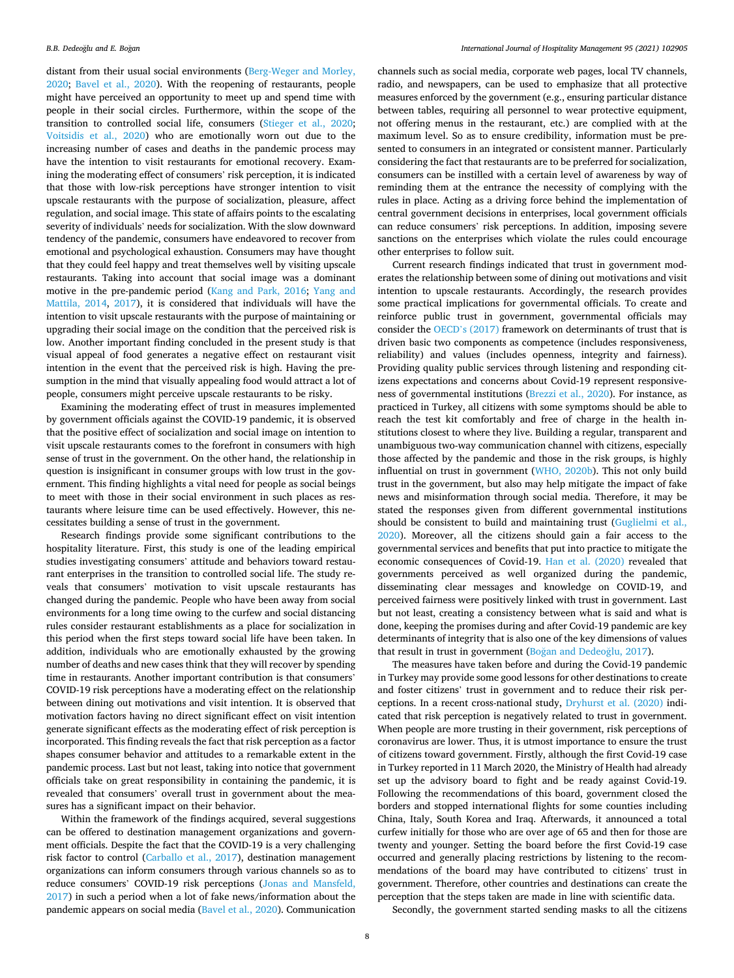distant from their usual social environments ([Berg-Weger and Morley,](#page-8-0)  [2020;](#page-8-0) [Bavel et al., 2020\)](#page-8-0). With the reopening of restaurants, people might have perceived an opportunity to meet up and spend time with people in their social circles. Furthermore, within the scope of the transition to controlled social life, consumers ([Stieger et al., 2020](#page-9-0); [Voitsidis et al., 2020\)](#page-9-0) who are emotionally worn out due to the increasing number of cases and deaths in the pandemic process may have the intention to visit restaurants for emotional recovery. Examining the moderating effect of consumers' risk perception, it is indicated that those with low-risk perceptions have stronger intention to visit upscale restaurants with the purpose of socialization, pleasure, affect regulation, and social image. This state of affairs points to the escalating severity of individuals' needs for socialization. With the slow downward tendency of the pandemic, consumers have endeavored to recover from emotional and psychological exhaustion. Consumers may have thought that they could feel happy and treat themselves well by visiting upscale restaurants. Taking into account that social image was a dominant motive in the pre-pandemic period [\(Kang and Park, 2016;](#page-9-0) [Yang and](#page-10-0)  [Mattila, 2014,](#page-10-0) [2017\)](#page-10-0), it is considered that individuals will have the intention to visit upscale restaurants with the purpose of maintaining or upgrading their social image on the condition that the perceived risk is low. Another important finding concluded in the present study is that visual appeal of food generates a negative effect on restaurant visit intention in the event that the perceived risk is high. Having the presumption in the mind that visually appealing food would attract a lot of people, consumers might perceive upscale restaurants to be risky.

Examining the moderating effect of trust in measures implemented by government officials against the COVID-19 pandemic, it is observed that the positive effect of socialization and social image on intention to visit upscale restaurants comes to the forefront in consumers with high sense of trust in the government. On the other hand, the relationship in question is insignificant in consumer groups with low trust in the government. This finding highlights a vital need for people as social beings to meet with those in their social environment in such places as restaurants where leisure time can be used effectively. However, this necessitates building a sense of trust in the government.

Research findings provide some significant contributions to the hospitality literature. First, this study is one of the leading empirical studies investigating consumers' attitude and behaviors toward restaurant enterprises in the transition to controlled social life. The study reveals that consumers' motivation to visit upscale restaurants has changed during the pandemic. People who have been away from social environments for a long time owing to the curfew and social distancing rules consider restaurant establishments as a place for socialization in this period when the first steps toward social life have been taken. In addition, individuals who are emotionally exhausted by the growing number of deaths and new cases think that they will recover by spending time in restaurants. Another important contribution is that consumers' COVID-19 risk perceptions have a moderating effect on the relationship between dining out motivations and visit intention. It is observed that motivation factors having no direct significant effect on visit intention generate significant effects as the moderating effect of risk perception is incorporated. This finding reveals the fact that risk perception as a factor shapes consumer behavior and attitudes to a remarkable extent in the pandemic process. Last but not least, taking into notice that government officials take on great responsibility in containing the pandemic, it is revealed that consumers' overall trust in government about the measures has a significant impact on their behavior.

Within the framework of the findings acquired, several suggestions can be offered to destination management organizations and government officials. Despite the fact that the COVID-19 is a very challenging risk factor to control [\(Carballo et al., 2017\)](#page-8-0), destination management organizations can inform consumers through various channels so as to reduce consumers' COVID-19 risk perceptions [\(Jonas and Mansfeld,](#page-9-0)  [2017\)](#page-9-0) in such a period when a lot of fake news/information about the pandemic appears on social media ([Bavel et al., 2020](#page-8-0)). Communication

channels such as social media, corporate web pages, local TV channels, radio, and newspapers, can be used to emphasize that all protective measures enforced by the government (e.g., ensuring particular distance between tables, requiring all personnel to wear protective equipment, not offering menus in the restaurant, etc.) are complied with at the maximum level. So as to ensure credibility, information must be presented to consumers in an integrated or consistent manner. Particularly considering the fact that restaurants are to be preferred for socialization, consumers can be instilled with a certain level of awareness by way of reminding them at the entrance the necessity of complying with the rules in place. Acting as a driving force behind the implementation of central government decisions in enterprises, local government officials can reduce consumers' risk perceptions. In addition, imposing severe sanctions on the enterprises which violate the rules could encourage other enterprises to follow suit.

Current research findings indicated that trust in government moderates the relationship between some of dining out motivations and visit intention to upscale restaurants. Accordingly, the research provides some practical implications for governmental officials. To create and reinforce public trust in government, governmental officials may consider the OECD'[s \(2017\)](#page-9-0) framework on determinants of trust that is driven basic two components as competence (includes responsiveness, reliability) and values (includes openness, integrity and fairness). Providing quality public services through listening and responding citizens expectations and concerns about Covid-19 represent responsiveness of governmental institutions ([Brezzi et al., 2020\)](#page-8-0). For instance, as practiced in Turkey, all citizens with some symptoms should be able to reach the test kit comfortably and free of charge in the health institutions closest to where they live. Building a regular, transparent and unambiguous two-way communication channel with citizens, especially those affected by the pandemic and those in the risk groups, is highly influential on trust in government [\(WHO, 2020b\)](#page-10-0). This not only build trust in the government, but also may help mitigate the impact of fake news and misinformation through social media. Therefore, it may be stated the responses given from different governmental institutions should be consistent to build and maintaining trust [\(Guglielmi et al.,](#page-9-0)  [2020\)](#page-9-0). Moreover, all the citizens should gain a fair access to the governmental services and benefits that put into practice to mitigate the economic consequences of Covid-19. [Han et al. \(2020\)](#page-9-0) revealed that governments perceived as well organized during the pandemic, disseminating clear messages and knowledge on COVID-19, and perceived fairness were positively linked with trust in government. Last but not least, creating a consistency between what is said and what is done, keeping the promises during and after Covid-19 pandemic are key determinants of integrity that is also one of the key dimensions of values that result in trust in government (Boğan and Dedeoğlu, 2017).

The measures have taken before and during the Covid-19 pandemic in Turkey may provide some good lessons for other destinations to create and foster citizens' trust in government and to reduce their risk perceptions. In a recent cross-national study, [Dryhurst et al. \(2020\)](#page-8-0) indicated that risk perception is negatively related to trust in government. When people are more trusting in their government, risk perceptions of coronavirus are lower. Thus, it is utmost importance to ensure the trust of citizens toward government. Firstly, although the first Covid-19 case in Turkey reported in 11 March 2020, the Ministry of Health had already set up the advisory board to fight and be ready against Covid-19. Following the recommendations of this board, government closed the borders and stopped international flights for some counties including China, Italy, South Korea and Iraq. Afterwards, it announced a total curfew initially for those who are over age of 65 and then for those are twenty and younger. Setting the board before the first Covid-19 case occurred and generally placing restrictions by listening to the recommendations of the board may have contributed to citizens' trust in government. Therefore, other countries and destinations can create the perception that the steps taken are made in line with scientific data.

Secondly, the government started sending masks to all the citizens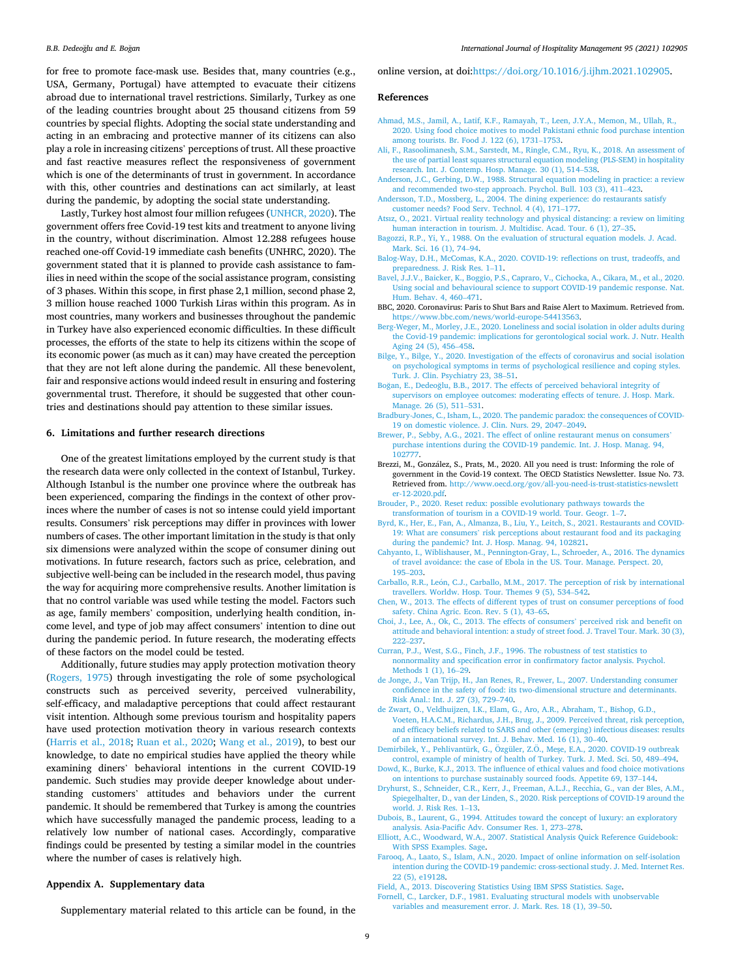<span id="page-8-0"></span>for free to promote face-mask use. Besides that, many countries (e.g., USA, Germany, Portugal) have attempted to evacuate their citizens abroad due to international travel restrictions. Similarly, Turkey as one of the leading countries brought about 25 thousand citizens from 59 countries by special flights. Adopting the social state understanding and acting in an embracing and protective manner of its citizens can also play a role in increasing citizens' perceptions of trust. All these proactive and fast reactive measures reflect the responsiveness of government which is one of the determinants of trust in government. In accordance with this, other countries and destinations can act similarly, at least during the pandemic, by adopting the social state understanding.

Lastly, Turkey host almost four million refugees [\(UNHCR, 2020\)](#page-9-0). The government offers free Covid-19 test kits and treatment to anyone living in the country, without discrimination. Almost 12.288 refugees house reached one-off Covid-19 immediate cash benefits (UNHRC, 2020). The government stated that it is planned to provide cash assistance to families in need within the scope of the social assistance program, consisting of 3 phases. Within this scope, in first phase 2,1 million, second phase 2, 3 million house reached 1000 Turkish Liras within this program. As in most countries, many workers and businesses throughout the pandemic in Turkey have also experienced economic difficulties. In these difficult processes, the efforts of the state to help its citizens within the scope of its economic power (as much as it can) may have created the perception that they are not left alone during the pandemic. All these benevolent, fair and responsive actions would indeed result in ensuring and fostering governmental trust. Therefore, it should be suggested that other countries and destinations should pay attention to these similar issues.

#### **6. Limitations and further research directions**

One of the greatest limitations employed by the current study is that the research data were only collected in the context of Istanbul, Turkey. Although Istanbul is the number one province where the outbreak has been experienced, comparing the findings in the context of other provinces where the number of cases is not so intense could yield important results. Consumers' risk perceptions may differ in provinces with lower numbers of cases. The other important limitation in the study is that only six dimensions were analyzed within the scope of consumer dining out motivations. In future research, factors such as price, celebration, and subjective well-being can be included in the research model, thus paving the way for acquiring more comprehensive results. Another limitation is that no control variable was used while testing the model. Factors such as age, family members' composition, underlying health condition, income level, and type of job may affect consumers' intention to dine out during the pandemic period. In future research, the moderating effects of these factors on the model could be tested.

Additionally, future studies may apply protection motivation theory ([Rogers, 1975](#page-9-0)) through investigating the role of some psychological constructs such as perceived severity, perceived vulnerability, self-efficacy, and maladaptive perceptions that could affect restaurant visit intention. Although some previous tourism and hospitality papers have used protection motivation theory in various research contexts ([Harris et al., 2018](#page-9-0); [Ruan et al., 2020](#page-9-0); [Wang et al., 2019\)](#page-9-0), to best our knowledge, to date no empirical studies have applied the theory while examining diners' behavioral intentions in the current COVID-19 pandemic. Such studies may provide deeper knowledge about understanding customers' attitudes and behaviors under the current pandemic. It should be remembered that Turkey is among the countries which have successfully managed the pandemic process, leading to a relatively low number of national cases. Accordingly, comparative findings could be presented by testing a similar model in the countries where the number of cases is relatively high.

# **Appendix A. Supplementary data**

online version, at doi:[https://doi.org/10.1016/j.ijhm.2021.102905.](https://doi.org/10.1016/j.ijhm.2021.102905)

## **References**

- [Ahmad, M.S., Jamil, A., Latif, K.F., Ramayah, T., Leen, J.Y.A., Memon, M., Ullah, R.,](http://refhub.elsevier.com/S0278-4319(21)00048-7/sbref0005) [2020. Using food choice motives to model Pakistani ethnic food purchase intention](http://refhub.elsevier.com/S0278-4319(21)00048-7/sbref0005)  [among tourists. Br. Food J. 122 \(6\), 1731](http://refhub.elsevier.com/S0278-4319(21)00048-7/sbref0005)–1753.
- [Ali, F., Rasoolimanesh, S.M., Sarstedt, M., Ringle, C.M., Ryu, K., 2018. An assessment of](http://refhub.elsevier.com/S0278-4319(21)00048-7/sbref0010)  [the use of partial least squares structural equation modeling \(PLS-SEM\) in hospitality](http://refhub.elsevier.com/S0278-4319(21)00048-7/sbref0010)  [research. Int. J. Contemp. Hosp. Manage. 30 \(1\), 514](http://refhub.elsevier.com/S0278-4319(21)00048-7/sbref0010)–538.
- [Anderson, J.C., Gerbing, D.W., 1988. Structural equation modeling in practice: a review](http://refhub.elsevier.com/S0278-4319(21)00048-7/sbref0015)  [and recommended two-step approach. Psychol. Bull. 103 \(3\), 411](http://refhub.elsevier.com/S0278-4319(21)00048-7/sbref0015)–423.
- [Andersson, T.D., Mossberg, L., 2004. The dining experience: do restaurants satisfy](http://refhub.elsevier.com/S0278-4319(21)00048-7/sbref0020)  [customer needs? Food Serv. Technol. 4 \(4\), 171](http://refhub.elsevier.com/S0278-4319(21)00048-7/sbref0020)–177.
- [Atsız, O., 2021. Virtual reality technology and physical distancing: a review on limiting](http://refhub.elsevier.com/S0278-4319(21)00048-7/sbref0025)  [human interaction in tourism. J. Multidisc. Acad. Tour. 6 \(1\), 27](http://refhub.elsevier.com/S0278-4319(21)00048-7/sbref0025)–35.
- [Bagozzi, R.P., Yi, Y., 1988. On the evaluation of structural equation models. J. Acad.](http://refhub.elsevier.com/S0278-4319(21)00048-7/sbref0030) [Mark. Sci. 16 \(1\), 74](http://refhub.elsevier.com/S0278-4319(21)00048-7/sbref0030)–94.
- [Balog-Way, D.H., McComas, K.A., 2020. COVID-19: reflections on trust, tradeoffs, and](http://refhub.elsevier.com/S0278-4319(21)00048-7/sbref0035) [preparedness. J. Risk Res. 1](http://refhub.elsevier.com/S0278-4319(21)00048-7/sbref0035)–11.
- [Bavel, J.J.V., Baicker, K., Boggio, P.S., Capraro, V., Cichocka, A., Cikara, M., et al., 2020.](http://refhub.elsevier.com/S0278-4319(21)00048-7/sbref0040)  [Using social and behavioural science to support COVID-19 pandemic response. Nat.](http://refhub.elsevier.com/S0278-4319(21)00048-7/sbref0040)  [Hum. Behav. 4, 460](http://refhub.elsevier.com/S0278-4319(21)00048-7/sbref0040)–471.
- BBC, 2020. Coronavirus: Paris to Shut Bars and Raise Alert to Maximum. Retrieved from. <https://www.bbc.com/news/world-europe-54413563>.
- [Berg-Weger, M., Morley, J.E., 2020. Loneliness and social isolation in older adults during](http://refhub.elsevier.com/S0278-4319(21)00048-7/sbref0050)  [the Covid-19 pandemic: implications for gerontological social work. J. Nutr. Health](http://refhub.elsevier.com/S0278-4319(21)00048-7/sbref0050)  [Aging 24 \(5\), 456](http://refhub.elsevier.com/S0278-4319(21)00048-7/sbref0050)–458.
- [Bilge, Y., Bilge, Y., 2020. Investigation of the effects of coronavirus and social isolation](http://refhub.elsevier.com/S0278-4319(21)00048-7/sbref0055)  [on psychological symptoms in terms of psychological resilience and coping styles.](http://refhub.elsevier.com/S0278-4319(21)00048-7/sbref0055) [Turk. J. Clin. Psychiatry 23, 38](http://refhub.elsevier.com/S0278-4319(21)00048-7/sbref0055)–51.
- Boğan, E., Dedeoğlu, [B.B., 2017. The effects of perceived behavioral integrity of](http://refhub.elsevier.com/S0278-4319(21)00048-7/sbref0060) [supervisors on employee outcomes: moderating effects of tenure. J. Hosp. Mark.](http://refhub.elsevier.com/S0278-4319(21)00048-7/sbref0060)  [Manage. 26 \(5\), 511](http://refhub.elsevier.com/S0278-4319(21)00048-7/sbref0060)–531.
- [Bradbury-Jones, C., Isham, L., 2020. The pandemic paradox: the consequences of COVID-](http://refhub.elsevier.com/S0278-4319(21)00048-7/sbref0065)[19 on domestic violence. J. Clin. Nurs. 29, 2047](http://refhub.elsevier.com/S0278-4319(21)00048-7/sbref0065)–2049.
- [Brewer, P., Sebby, A.G., 2021. The effect of online restaurant menus on consumers](http://refhub.elsevier.com/S0278-4319(21)00048-7/sbref0070)' [purchase intentions during the COVID-19 pandemic. Int. J. Hosp. Manag. 94,](http://refhub.elsevier.com/S0278-4319(21)00048-7/sbref0070) [102777](http://refhub.elsevier.com/S0278-4319(21)00048-7/sbref0070).
- Brezzi, M., González, S., Prats, M., 2020. All you need is trust: Informing the role of government in the Covid-19 context. The OECD Statistics Newsletter. Issue No. 73. Retrieved from. [http://www.oecd.org/gov/all-you-need-is-trust-statistics-newslett](http://www.oecd.org/gov/all-you-need-is-trust-statistics-newsletter-12-2020.pdf)  [er-12-2020.pdf.](http://www.oecd.org/gov/all-you-need-is-trust-statistics-newsletter-12-2020.pdf)
- [Brouder, P., 2020. Reset redux: possible evolutionary pathways towards the](http://refhub.elsevier.com/S0278-4319(21)00048-7/sbref0080) [transformation of tourism in a COVID-19 world. Tour. Geogr. 1](http://refhub.elsevier.com/S0278-4319(21)00048-7/sbref0080)–7.
- [Byrd, K., Her, E., Fan, A., Almanza, B., Liu, Y., Leitch, S., 2021. Restaurants and COVID-](http://refhub.elsevier.com/S0278-4319(21)00048-7/sbref0085)19: What are consumers' [risk perceptions about restaurant food and its packaging](http://refhub.elsevier.com/S0278-4319(21)00048-7/sbref0085)  [during the pandemic? Int. J. Hosp. Manag. 94, 102821.](http://refhub.elsevier.com/S0278-4319(21)00048-7/sbref0085)
- [Cahyanto, I., Wiblishauser, M., Pennington-Gray, L., Schroeder, A., 2016. The dynamics](http://refhub.elsevier.com/S0278-4319(21)00048-7/sbref0090)  [of travel avoidance: the case of Ebola in the US. Tour. Manage. Perspect. 20,](http://refhub.elsevier.com/S0278-4319(21)00048-7/sbref0090) 195–[203](http://refhub.elsevier.com/S0278-4319(21)00048-7/sbref0090).
- Carballo, R.R., León, C.J., Carballo, M.M., 2017. The perception of risk by international [travellers. Worldw. Hosp. Tour. Themes 9 \(5\), 534](http://refhub.elsevier.com/S0278-4319(21)00048-7/sbref0095)–542.
- [Chen, W., 2013. The effects of different types of trust on consumer perceptions of food](http://refhub.elsevier.com/S0278-4319(21)00048-7/sbref0100)  [safety. China Agric. Econ. Rev. 5 \(1\), 43](http://refhub.elsevier.com/S0278-4319(21)00048-7/sbref0100)–65.
- [Choi, J., Lee, A., Ok, C., 2013. The effects of consumers](http://refhub.elsevier.com/S0278-4319(21)00048-7/sbref0105)' perceived risk and benefit on [attitude and behavioral intention: a study of street food. J. Travel Tour. Mark. 30 \(3\),](http://refhub.elsevier.com/S0278-4319(21)00048-7/sbref0105)  222–[237](http://refhub.elsevier.com/S0278-4319(21)00048-7/sbref0105).
- [Curran, P.J., West, S.G., Finch, J.F., 1996. The robustness of test statistics to](http://refhub.elsevier.com/S0278-4319(21)00048-7/sbref0110) [nonnormality and specification error in confirmatory factor analysis. Psychol.](http://refhub.elsevier.com/S0278-4319(21)00048-7/sbref0110) [Methods 1 \(1\), 16](http://refhub.elsevier.com/S0278-4319(21)00048-7/sbref0110)–29.
- [de Jonge, J., Van Trijp, H., Jan Renes, R., Frewer, L., 2007. Understanding consumer](http://refhub.elsevier.com/S0278-4319(21)00048-7/sbref0115) [confidence in the safety of food: its two-dimensional structure and determinants.](http://refhub.elsevier.com/S0278-4319(21)00048-7/sbref0115) [Risk Anal.: Int. J. 27 \(3\), 729](http://refhub.elsevier.com/S0278-4319(21)00048-7/sbref0115)–740.
- [de Zwart, O., Veldhuijzen, I.K., Elam, G., Aro, A.R., Abraham, T., Bishop, G.D.,](http://refhub.elsevier.com/S0278-4319(21)00048-7/sbref0120) [Voeten, H.A.C.M., Richardus, J.H., Brug, J., 2009. Perceived threat, risk perception,](http://refhub.elsevier.com/S0278-4319(21)00048-7/sbref0120)  [and efficacy beliefs related to SARS and other \(emerging\) infectious diseases: results](http://refhub.elsevier.com/S0278-4319(21)00048-7/sbref0120)  [of an international survey. Int. J. Behav. Med. 16 \(1\), 30](http://refhub.elsevier.com/S0278-4319(21)00048-7/sbref0120)–40.
- Demirbilek, Y., Pehlivantürk, G., Özgüler, Z.Ö., Meşe, E.A., 2020. COVID-19 outbreak [control, example of ministry of health of Turkey. Turk. J. Med. Sci. 50, 489](http://refhub.elsevier.com/S0278-4319(21)00048-7/sbref0125)–494.
- [Dowd, K., Burke, K.J., 2013. The influence of ethical values and food choice motivations](http://refhub.elsevier.com/S0278-4319(21)00048-7/sbref0130)  [on intentions to purchase sustainably sourced foods. Appetite 69, 137](http://refhub.elsevier.com/S0278-4319(21)00048-7/sbref0130)–144.
- [Dryhurst, S., Schneider, C.R., Kerr, J., Freeman, A.L.J., Recchia, G., van der Bles, A.M.,](http://refhub.elsevier.com/S0278-4319(21)00048-7/sbref0135) [Spiegelhalter, D., van der Linden, S., 2020. Risk perceptions of COVID-19 around the](http://refhub.elsevier.com/S0278-4319(21)00048-7/sbref0135)  [world. J. Risk Res. 1](http://refhub.elsevier.com/S0278-4319(21)00048-7/sbref0135)–13.
- [Dubois, B., Laurent, G., 1994. Attitudes toward the concept of luxury: an exploratory](http://refhub.elsevier.com/S0278-4319(21)00048-7/sbref0140)  [analysis. Asia-Pacific Adv. Consumer Res. 1, 273](http://refhub.elsevier.com/S0278-4319(21)00048-7/sbref0140)–278.
- [Elliott, A.C., Woodward, W.A., 2007. Statistical Analysis Quick Reference Guidebook:](http://refhub.elsevier.com/S0278-4319(21)00048-7/sbref0145)  [With SPSS Examples. Sage.](http://refhub.elsevier.com/S0278-4319(21)00048-7/sbref0145)
- [Farooq, A., Laato, S., Islam, A.N., 2020. Impact of online information on self-isolation](http://refhub.elsevier.com/S0278-4319(21)00048-7/sbref0150) [intention during the COVID-19 pandemic: cross-sectional study. J. Med. Internet Res.](http://refhub.elsevier.com/S0278-4319(21)00048-7/sbref0150)  [22 \(5\), e19128](http://refhub.elsevier.com/S0278-4319(21)00048-7/sbref0150).
- [Field, A., 2013. Discovering Statistics Using IBM SPSS Statistics. Sage.](http://refhub.elsevier.com/S0278-4319(21)00048-7/sbref0155)
- [Fornell, C., Larcker, D.F., 1981. Evaluating structural models with unobservable](http://refhub.elsevier.com/S0278-4319(21)00048-7/sbref0160) [variables and measurement error. J. Mark. Res. 18 \(1\), 39](http://refhub.elsevier.com/S0278-4319(21)00048-7/sbref0160)–50.

Supplementary material related to this article can be found, in the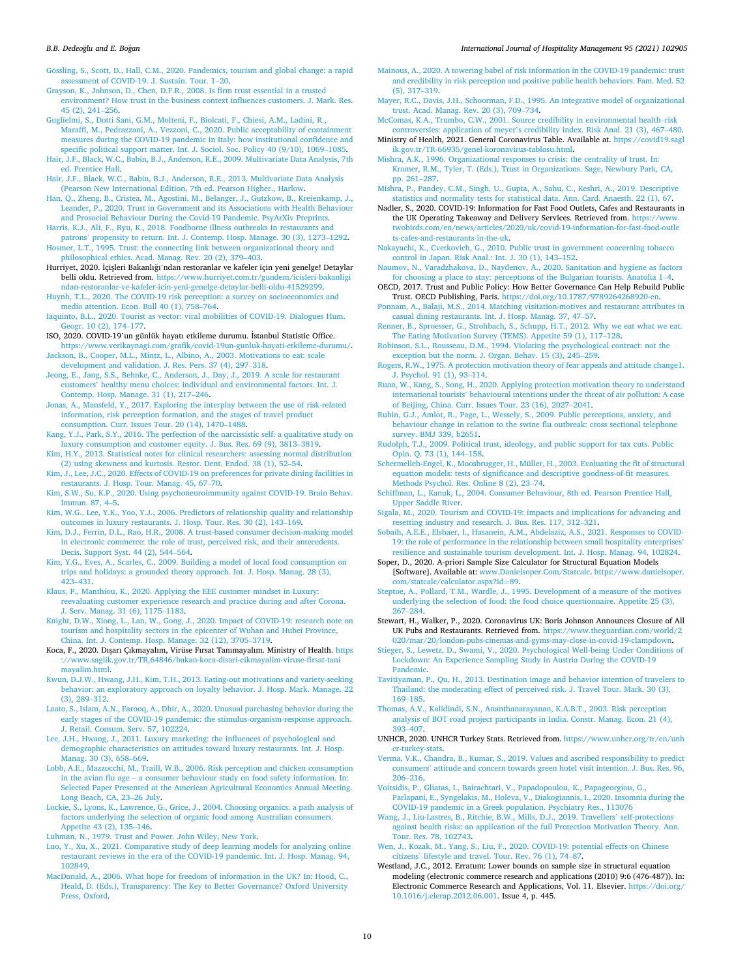<span id="page-9-0"></span>Gössling, S., Scott, D., Hall, C.M., 2020. Pandemics, tourism and global change: a rapid [assessment of COVID-19. J. Sustain. Tour. 1](http://refhub.elsevier.com/S0278-4319(21)00048-7/sbref0165)–20.

[Grayson, K., Johnson, D., Chen, D.F.R., 2008. Is firm trust essential in a trusted](http://refhub.elsevier.com/S0278-4319(21)00048-7/sbref0170)  [environment? How trust in the business context influences customers. J. Mark. Res.](http://refhub.elsevier.com/S0278-4319(21)00048-7/sbref0170)  [45 \(2\), 241](http://refhub.elsevier.com/S0278-4319(21)00048-7/sbref0170)–256.

[Guglielmi, S., Dotti Sani, G.M., Molteni, F., Biolcati, F., Chiesi, A.M., Ladini, R.,](http://refhub.elsevier.com/S0278-4319(21)00048-7/sbref0175) [Maraffi, M., Pedrazzani, A., Vezzoni, C., 2020. Public acceptability of containment](http://refhub.elsevier.com/S0278-4319(21)00048-7/sbref0175) [measures during the COVID-19 pandemic in Italy: how institutional confidence and](http://refhub.elsevier.com/S0278-4319(21)00048-7/sbref0175)  [specific political support matter. Int. J. Sociol. Soc. Policy 40 \(9/10\), 1069](http://refhub.elsevier.com/S0278-4319(21)00048-7/sbref0175)–1085. [Hair, J.F., Black, W.C., Babin, B.J., Anderson, R.E., 2009. Multivariate Data Analysis, 7th](http://refhub.elsevier.com/S0278-4319(21)00048-7/sbref0180) 

[ed. Prentice Hall](http://refhub.elsevier.com/S0278-4319(21)00048-7/sbref0180). [Hair, J.F., Black, W.C., Babin, B.J., Anderson, R.E., 2013. Multivariate Data Analysis](http://refhub.elsevier.com/S0278-4319(21)00048-7/sbref0185) 

[\(Pearson New International Edition, 7th ed. Pearson Higher., Harlow.](http://refhub.elsevier.com/S0278-4319(21)00048-7/sbref0185) [Han, Q., Zheng, B., Cristea, M., Agostini, M., Belanger, J., Gutzkow, B., Kreienkamp, J.,](http://refhub.elsevier.com/S0278-4319(21)00048-7/sbref0190) 

[Leander, P., 2020. Trust in Government and its Associations with Health Behaviour](http://refhub.elsevier.com/S0278-4319(21)00048-7/sbref0190)  [and Prosocial Behaviour During the Covid-19 Pandemic. PsyArXiv Preprints](http://refhub.elsevier.com/S0278-4319(21)00048-7/sbref0190).

[Harris, K.J., Ali, F., Ryu, K., 2018. Foodborne illness outbreaks in restaurants and](http://refhub.elsevier.com/S0278-4319(21)00048-7/sbref0195) patrons' [propensity to return. Int. J. Contemp. Hosp. Manage. 30 \(3\), 1273](http://refhub.elsevier.com/S0278-4319(21)00048-7/sbref0195)–1292. [Hosmer, L.T., 1995. Trust: the connecting link between organizational theory and](http://refhub.elsevier.com/S0278-4319(21)00048-7/sbref0200)

[philosophical ethics. Acad. Manag. Rev. 20 \(2\), 379](http://refhub.elsevier.com/S0278-4319(21)00048-7/sbref0200)–403. Hurriyet, 2020. İçişleri Bakanlığı'ndan restoranlar ve kafeler için yeni genelge! Detaylar belli oldu. Retrieved from. [https://www.hurriyet.com.tr/gundem/icisleri-bakanligi](https://www.hurriyet.com.tr/gundem/icisleri-bakanligindan-restoranlar-ve-kafeler-icin-yeni-genelge-detaylar-belli-oldu-41529299)

[ndan-restoranlar-ve-kafeler-icin-yeni-genelge-detaylar-belli-oldu-41529299.](https://www.hurriyet.com.tr/gundem/icisleri-bakanligindan-restoranlar-ve-kafeler-icin-yeni-genelge-detaylar-belli-oldu-41529299) [Huynh, T.L., 2020. The COVID-19 risk perception: a survey on socioeconomics and](http://refhub.elsevier.com/S0278-4319(21)00048-7/sbref0210) [media attention. Econ. Bull 40 \(1\), 758](http://refhub.elsevier.com/S0278-4319(21)00048-7/sbref0210)–764.

[Iaquinto, B.L., 2020. Tourist as vector: viral mobilities of COVID-19. Dialogues Hum.](http://refhub.elsevier.com/S0278-4319(21)00048-7/sbref0215) [Geogr. 10 \(2\), 174](http://refhub.elsevier.com/S0278-4319(21)00048-7/sbref0215)–177.

ISO, 2020. COVID-19'un günlük hayatı etkileme durumu. ˙ Istanbul Statistic Office. [https://www.verikaynagi.com/grafik/covid-19un-gunluk-hayati-etkileme-durumu/.](https://www.verikaynagi.com/grafik/covid-19un-gunluk-hayati-etkileme-durumu/)

[Jackson, B., Cooper, M.L., Mintz, L., Albino, A., 2003. Motivations to eat: scale](http://refhub.elsevier.com/S0278-4319(21)00048-7/sbref0225)  [development and validation. J. Res. Pers. 37 \(4\), 297](http://refhub.elsevier.com/S0278-4319(21)00048-7/sbref0225)–318.

[Jeong, E., Jang, S.S., Behnke, C., Anderson, J., Day, J., 2019. A scale for restaurant](http://refhub.elsevier.com/S0278-4319(21)00048-7/sbref0230)  customers' [healthy menu choices: individual and environmental factors. Int. J.](http://refhub.elsevier.com/S0278-4319(21)00048-7/sbref0230) [Contemp. Hosp. Manage. 31 \(1\), 217](http://refhub.elsevier.com/S0278-4319(21)00048-7/sbref0230)–246.

[Jonas, A., Mansfeld, Y., 2017. Exploring the interplay between the use of risk-related](http://refhub.elsevier.com/S0278-4319(21)00048-7/sbref0235) [information, risk perception formation, and the stages of travel product](http://refhub.elsevier.com/S0278-4319(21)00048-7/sbref0235) [consumption. Curr. Issues Tour. 20 \(14\), 1470](http://refhub.elsevier.com/S0278-4319(21)00048-7/sbref0235)–1488.

[Kang, Y.J., Park, S.Y., 2016. The perfection of the narcissistic self: a qualitative study on](http://refhub.elsevier.com/S0278-4319(21)00048-7/sbref0240)  [luxury consumption and customer equity. J. Bus. Res. 69 \(9\), 3813](http://refhub.elsevier.com/S0278-4319(21)00048-7/sbref0240)–3819.

[Kim, H.Y., 2013. Statistical notes for clinical researchers: assessing normal distribution](http://refhub.elsevier.com/S0278-4319(21)00048-7/sbref0245) [\(2\) using skewness and kurtosis. Restor. Dent. Endod. 38 \(1\), 52](http://refhub.elsevier.com/S0278-4319(21)00048-7/sbref0245)–54.

[Kim, J., Lee, J.C., 2020. Effects of COVID-19 on preferences for private dining facilities in](http://refhub.elsevier.com/S0278-4319(21)00048-7/sbref0250)  [restaurants. J. Hosp. Tour. Manag. 45, 67](http://refhub.elsevier.com/S0278-4319(21)00048-7/sbref0250)–70.

[Kim, S.W., Su, K.P., 2020. Using psychoneuroimmunity against COVID-19. Brain Behav.](http://refhub.elsevier.com/S0278-4319(21)00048-7/sbref0255)  [Immun. 87, 4](http://refhub.elsevier.com/S0278-4319(21)00048-7/sbref0255)–5.

[Kim, W.G., Lee, Y.K., Yoo, Y.J., 2006. Predictors of relationship quality and relationship](http://refhub.elsevier.com/S0278-4319(21)00048-7/sbref0260)  [outcomes in luxury restaurants. J. Hosp. Tour. Res. 30 \(2\), 143](http://refhub.elsevier.com/S0278-4319(21)00048-7/sbref0260)–169.

[Kim, D.J., Ferrin, D.L., Rao, H.R., 2008. A trust-based consumer decision-making model](http://refhub.elsevier.com/S0278-4319(21)00048-7/sbref0265)  [in electronic commerce: the role of trust, perceived risk, and their antecedents.](http://refhub.elsevier.com/S0278-4319(21)00048-7/sbref0265)  [Decis. Support Syst. 44 \(2\), 544](http://refhub.elsevier.com/S0278-4319(21)00048-7/sbref0265)–564.

[Kim, Y.G., Eves, A., Scarles, C., 2009. Building a model of local food consumption on](http://refhub.elsevier.com/S0278-4319(21)00048-7/sbref0270) [trips and holidays: a grounded theory approach. Int. J. Hosp. Manag. 28 \(3\),](http://refhub.elsevier.com/S0278-4319(21)00048-7/sbref0270)  423–[431](http://refhub.elsevier.com/S0278-4319(21)00048-7/sbref0270).

[Klaus, P., Manthiou, K., 2020. Applying the EEE customer mindset in Luxury:](http://refhub.elsevier.com/S0278-4319(21)00048-7/sbref0275) [reevaluating customer experience research and practice during and after Corona.](http://refhub.elsevier.com/S0278-4319(21)00048-7/sbref0275)  [J. Serv. Manag. 31 \(6\), 1175](http://refhub.elsevier.com/S0278-4319(21)00048-7/sbref0275)–1183.

[Knight, D.W., Xiong, L., Lan, W., Gong, J., 2020. Impact of COVID-19: research note on](http://refhub.elsevier.com/S0278-4319(21)00048-7/sbref0280)  [tourism and hospitality sectors in the epicenter of Wuhan and Hubei Province,](http://refhub.elsevier.com/S0278-4319(21)00048-7/sbref0280) [China. Int. J. Contemp. Hosp. Manage. 32 \(12\), 3705](http://refhub.elsevier.com/S0278-4319(21)00048-7/sbref0280)–3719.

Koca, F., 2020. Dısarı Çıkmayalım, Virüse Fırsat Tanımayalım. Ministry of Health. https [://www.saglik.gov.tr/TR,64846/bakan-koca-disari-cikmayalim-viruse-firsat-tani](https://www.saglik.gov.tr/TR,64846/bakan-koca-disari-cikmayalim-viruse-firsat-tanimayalim.html)  [mayalim.html](https://www.saglik.gov.tr/TR,64846/bakan-koca-disari-cikmayalim-viruse-firsat-tanimayalim.html).

[Kwun, D.J.W., Hwang, J.H., Kim, T.H., 2013. Eating-out motivations and variety-seeking](http://refhub.elsevier.com/S0278-4319(21)00048-7/sbref0290)  [behavior: an exploratory approach on loyalty behavior. J. Hosp. Mark. Manage. 22](http://refhub.elsevier.com/S0278-4319(21)00048-7/sbref0290)  [\(3\), 289](http://refhub.elsevier.com/S0278-4319(21)00048-7/sbref0290)–312.

[Laato, S., Islam, A.N., Farooq, A., Dhir, A., 2020. Unusual purchasing behavior during the](http://refhub.elsevier.com/S0278-4319(21)00048-7/sbref0295)  [early stages of the COVID-19 pandemic: the stimulus-organism-response approach.](http://refhub.elsevier.com/S0278-4319(21)00048-7/sbref0295) [J. Retail. Consum. Serv. 57, 102224](http://refhub.elsevier.com/S0278-4319(21)00048-7/sbref0295).

[Lee, J.H., Hwang, J., 2011. Luxury marketing: the influences of psychological and](http://refhub.elsevier.com/S0278-4319(21)00048-7/sbref0300) [demographic characteristics on attitudes toward luxury restaurants. Int. J. Hosp.](http://refhub.elsevier.com/S0278-4319(21)00048-7/sbref0300) [Manag. 30 \(3\), 658](http://refhub.elsevier.com/S0278-4319(21)00048-7/sbref0300)–669.

[Lobb, A.E., Mazzocchi, M., Traill, W.B., 2006. Risk perception and chicken consumption](http://refhub.elsevier.com/S0278-4319(21)00048-7/sbref0305)  in the avian flu age – [a consumer behaviour study on food safety information. In:](http://refhub.elsevier.com/S0278-4319(21)00048-7/sbref0305)  [Selected Paper Presented at the American Agricultural Economics Annual Meeting.](http://refhub.elsevier.com/S0278-4319(21)00048-7/sbref0305) [Long Beach, CA, 23](http://refhub.elsevier.com/S0278-4319(21)00048-7/sbref0305)–26 July.

[Lockie, S., Lyons, K., Lawrence, G., Grice, J., 2004. Choosing organics: a path analysis of](http://refhub.elsevier.com/S0278-4319(21)00048-7/sbref0310)  [factors underlying the selection of organic food among Australian consumers.](http://refhub.elsevier.com/S0278-4319(21)00048-7/sbref0310)  [Appetite 43 \(2\), 135](http://refhub.elsevier.com/S0278-4319(21)00048-7/sbref0310)–146.

[Luhman, N., 1979. Trust and Power. John Wiley, New York](http://refhub.elsevier.com/S0278-4319(21)00048-7/sbref0315).

[Luo, Y., Xu, X., 2021. Comparative study of deep learning models for analyzing online](http://refhub.elsevier.com/S0278-4319(21)00048-7/sbref0320)  [restaurant reviews in the era of the COVID-19 pandemic. Int. J. Hosp. Manag. 94,](http://refhub.elsevier.com/S0278-4319(21)00048-7/sbref0320)  [102849](http://refhub.elsevier.com/S0278-4319(21)00048-7/sbref0320).

[MacDonald, A., 2006. What hope for freedom of information in the UK? In: Hood, C.,](http://refhub.elsevier.com/S0278-4319(21)00048-7/sbref0325)  [Heald, D. \(Eds.\), Transparency: The Key to Better Governance? Oxford University](http://refhub.elsevier.com/S0278-4319(21)00048-7/sbref0325) [Press, Oxford](http://refhub.elsevier.com/S0278-4319(21)00048-7/sbref0325).

[Mainous, A., 2020. A towering babel of risk information in the COVID-19 pandemic: trust](http://refhub.elsevier.com/S0278-4319(21)00048-7/sbref0330)  [and credibility in risk perception and positive public health behaviors. Fam. Med. 52](http://refhub.elsevier.com/S0278-4319(21)00048-7/sbref0330)  [\(5\), 317](http://refhub.elsevier.com/S0278-4319(21)00048-7/sbref0330)–319.

[Mayer, R.C., Davis, J.H., Schoorman, F.D., 1995. An integrative model of organizational](http://refhub.elsevier.com/S0278-4319(21)00048-7/sbref0335)  [trust. Acad. Manag. Rev. 20 \(3\), 709](http://refhub.elsevier.com/S0278-4319(21)00048-7/sbref0335)–734.

[McComas, K.A., Trumbo, C.W., 2001. Source credibility in environmental health](http://refhub.elsevier.com/S0278-4319(21)00048-7/sbref0340)–risk controversies: application of meyer'[s credibility index. Risk Anal. 21 \(3\), 467](http://refhub.elsevier.com/S0278-4319(21)00048-7/sbref0340)–480. Ministry of Health, 2021. General Coronavirus Table. Available at. [https://covid19.sagl](https://covid19.saglik.gov.tr/TR-66935/genel-koronavirus-tablosu.html) 

[ik.gov.tr/TR-66935/genel-koronavirus-tablosu.html.](https://covid19.saglik.gov.tr/TR-66935/genel-koronavirus-tablosu.html) [Mishra, A.K., 1996. Organizational responses to crisis: the centrality of trust. In:](http://refhub.elsevier.com/S0278-4319(21)00048-7/sbref0350) [Kramer, R.M., Tyler, T. \(Eds.\), Trust in Organizations. Sage, Newbury Park, CA,](http://refhub.elsevier.com/S0278-4319(21)00048-7/sbref0350) [pp. 261](http://refhub.elsevier.com/S0278-4319(21)00048-7/sbref0350)–287.

[Mishra, P., Pandey, C.M., Singh, U., Gupta, A., Sahu, C., Keshri, A., 2019. Descriptive](http://refhub.elsevier.com/S0278-4319(21)00048-7/sbref0355) [statistics and normality tests for statistical data. Ann. Card. Anaesth. 22 \(1\), 67](http://refhub.elsevier.com/S0278-4319(21)00048-7/sbref0355).

Nadler, S., 2020. COVID-19: Information for Fast Food Outlets, Cafes and Restaurants in the UK Operating Takeaway and Delivery Services. Retrieved from. [https://www.](https://www.twobirds.com/en/news/articles/2020/uk/covid-19-information-for-fast-food-outlets-cafes-and-restaurants-in-the-uk)  [twobirds.com/en/news/articles/2020/uk/covid-19-information-for-fast-food-outle](https://www.twobirds.com/en/news/articles/2020/uk/covid-19-information-for-fast-food-outlets-cafes-and-restaurants-in-the-uk)  [ts-cafes-and-restaurants-in-the-uk.](https://www.twobirds.com/en/news/articles/2020/uk/covid-19-information-for-fast-food-outlets-cafes-and-restaurants-in-the-uk)

[Nakayachi, K., Cvetkovich, G., 2010. Public trust in government concerning tobacco](http://refhub.elsevier.com/S0278-4319(21)00048-7/sbref0365) [control in Japan. Risk Anal.: Int. J. 30 \(1\), 143](http://refhub.elsevier.com/S0278-4319(21)00048-7/sbref0365)–152.

[Naumov, N., Varadzhakova, D., Naydenov, A., 2020. Sanitation and hygiene as factors](http://refhub.elsevier.com/S0278-4319(21)00048-7/sbref0370)  [for choosing a place to stay: perceptions of the Bulgarian tourists. Anatolia 1](http://refhub.elsevier.com/S0278-4319(21)00048-7/sbref0370)–4.

OECD, 2017. Trust and Public Policy: How Better Governance Can Help Rebuild Public Trust. OECD Publishing, Paris. [https://doi.org/10.1787/9789264268920-en.](https://doi.org/10.1787/9789264268920-en)

[Ponnam, A., Balaji, M.S., 2014. Matching visitation-motives and restaurant attributes in](http://refhub.elsevier.com/S0278-4319(21)00048-7/sbref0380)  [casual dining restaurants. Int. J. Hosp. Manag. 37, 47](http://refhub.elsevier.com/S0278-4319(21)00048-7/sbref0380)–57.

[Renner, B., Sproesser, G., Strohbach, S., Schupp, H.T., 2012. Why we eat what we eat.](http://refhub.elsevier.com/S0278-4319(21)00048-7/sbref0385) [The Eating Motivation Survey \(TEMS\). Appetite 59 \(1\), 117](http://refhub.elsevier.com/S0278-4319(21)00048-7/sbref0385)–128.

[Robinson, S.L., Rousseau, D.M., 1994. Violating the psychological contract: not the](http://refhub.elsevier.com/S0278-4319(21)00048-7/sbref0390)  [exception but the norm. J. Organ. Behav. 15 \(3\), 245](http://refhub.elsevier.com/S0278-4319(21)00048-7/sbref0390)–259.

[Rogers, R.W., 1975. A protection motivation theory of fear appeals and attitude change1.](http://refhub.elsevier.com/S0278-4319(21)00048-7/sbref0395)  [J. Psychol. 91 \(1\), 93](http://refhub.elsevier.com/S0278-4319(21)00048-7/sbref0395)–114.

[Ruan, W., Kang, S., Song, H., 2020. Applying protection motivation theory to understand](http://refhub.elsevier.com/S0278-4319(21)00048-7/sbref0400)  international tourists' [behavioural intentions under the threat of air pollution: A case](http://refhub.elsevier.com/S0278-4319(21)00048-7/sbref0400)  [of Beijing, China. Curr. Issues Tour. 23 \(16\), 2027](http://refhub.elsevier.com/S0278-4319(21)00048-7/sbref0400)–2041.

Rubin, G.J., Amlôt, R., Page, L., Wessely, S., 2009. Public perceptions, anxiety, and [behaviour change in relation to the swine flu outbreak: cross sectional telephone](http://refhub.elsevier.com/S0278-4319(21)00048-7/sbref0405)  [survey. BMJ 339, b2651](http://refhub.elsevier.com/S0278-4319(21)00048-7/sbref0405).

[Rudolph, T.J., 2009. Political trust, ideology, and public support for tax cuts. Public](http://refhub.elsevier.com/S0278-4319(21)00048-7/sbref0410) [Opin. Q. 73 \(1\), 144](http://refhub.elsevier.com/S0278-4319(21)00048-7/sbref0410)–158.

[Schermelleh-Engel, K., Moosbrugger, H., Müller, H., 2003. Evaluating the fit of structural](http://refhub.elsevier.com/S0278-4319(21)00048-7/sbref0415)  [equation models: tests of significance and descriptive goodness-of-fit measures.](http://refhub.elsevier.com/S0278-4319(21)00048-7/sbref0415) [Methods Psychol. Res. Online 8 \(2\), 23](http://refhub.elsevier.com/S0278-4319(21)00048-7/sbref0415)–74.

[Schiffman, L., Kanuk, L., 2004. Consumer Behaviour, 8th ed. Pearson Prentice Hall,](http://refhub.elsevier.com/S0278-4319(21)00048-7/sbref0420) [Upper Saddle River.](http://refhub.elsevier.com/S0278-4319(21)00048-7/sbref0420)

[Sigala, M., 2020. Tourism and COVID-19: impacts and implications for advancing and](http://refhub.elsevier.com/S0278-4319(21)00048-7/sbref0425)  [resetting industry and research. J. Bus. Res. 117, 312](http://refhub.elsevier.com/S0278-4319(21)00048-7/sbref0425)–321.

[Sobaih, A.E.E., Elshaer, I., Hasanein, A.M., Abdelaziz, A.S., 2021. Responses to COVID-](http://refhub.elsevier.com/S0278-4319(21)00048-7/sbref0430)[19: the role of performance in the relationship between small hospitality enterprises](http://refhub.elsevier.com/S0278-4319(21)00048-7/sbref0430) [resilience and sustainable tourism development. Int. J. Hosp. Manag. 94, 102824](http://refhub.elsevier.com/S0278-4319(21)00048-7/sbref0430).

Soper, D., 2020. A-priori Sample Size Calculator for Structural Equation Models [Software]. Available at: [www.Danielsoper.Com/Statcalc](http://www.Danielsoper.Com/Statcalc). [https://www.danielsoper.](https://www.danielsoper.com/statcalc/calculator.aspx?id=89) 

[com/statcalc/calculator.aspx?id](https://www.danielsoper.com/statcalc/calculator.aspx?id=89)=89. [Steptoe, A., Pollard, T.M., Wardle, J., 1995. Development of a measure of the motives](http://refhub.elsevier.com/S0278-4319(21)00048-7/sbref0440) 

[underlying the selection of food: the food choice questionnaire. Appetite 25 \(3\),](http://refhub.elsevier.com/S0278-4319(21)00048-7/sbref0440) 267–[284](http://refhub.elsevier.com/S0278-4319(21)00048-7/sbref0440).

Stewart, H., Walker, P., 2020. Coronavirus UK: Boris Johnson Announces Closure of All UK Pubs and Restaurants. Retrieved from. [https://www.theguardian.com/world/2](https://www.theguardian.com/world/2020/mar/20/london-pubs-cinemas-and-gyms-may-close-in-covid-19-clampdown)  [020/mar/20/london-pubs-cinemas-and-gyms-may-close-in-covid-19-clampdown](https://www.theguardian.com/world/2020/mar/20/london-pubs-cinemas-and-gyms-may-close-in-covid-19-clampdown).

[Stieger, S., Lewetz, D., Swami, V., 2020. Psychological Well-being Under Conditions of](http://refhub.elsevier.com/S0278-4319(21)00048-7/sbref0450)  [Lockdown: An Experience Sampling Study in Austria During the COVID-19](http://refhub.elsevier.com/S0278-4319(21)00048-7/sbref0450)  [Pandemic](http://refhub.elsevier.com/S0278-4319(21)00048-7/sbref0450).

[Tavitiyaman, P., Qu, H., 2013. Destination image and behavior intention of travelers to](http://refhub.elsevier.com/S0278-4319(21)00048-7/sbref0455)  [Thailand: the moderating effect of perceived risk. J. Travel Tour. Mark. 30 \(3\),](http://refhub.elsevier.com/S0278-4319(21)00048-7/sbref0455)  169–[185](http://refhub.elsevier.com/S0278-4319(21)00048-7/sbref0455).

[Thomas, A.V., Kalidindi, S.N., Ananthanarayanan, K.A.B.T., 2003. Risk perception](http://refhub.elsevier.com/S0278-4319(21)00048-7/sbref0460)  [analysis of BOT road project participants in India. Constr. Manag. Econ. 21 \(4\),](http://refhub.elsevier.com/S0278-4319(21)00048-7/sbref0460)  393–[407](http://refhub.elsevier.com/S0278-4319(21)00048-7/sbref0460).

UNHCR, 2020. UNHCR Turkey Stats. Retrieved from. [https://www.unhcr.org/tr/en/unh](https://www.unhcr.org/tr/en/unhcr-turkey-stats)  [cr-turkey-stats.](https://www.unhcr.org/tr/en/unhcr-turkey-stats)

[Verma, V.K., Chandra, B., Kumar, S., 2019. Values and ascribed responsibility to predict](http://refhub.elsevier.com/S0278-4319(21)00048-7/sbref0470)  consumers' [attitude and concern towards green hotel visit intention. J. Bus. Res. 96,](http://refhub.elsevier.com/S0278-4319(21)00048-7/sbref0470)  206–[216](http://refhub.elsevier.com/S0278-4319(21)00048-7/sbref0470).

[Voitsidis, P., Gliatas, I., Bairachtari, V., Papadopoulou, K., Papageorgiou, G.,](http://refhub.elsevier.com/S0278-4319(21)00048-7/sbref0475) [Parlapani, E., Syngelakis, M., Holeva, V., Diakogiannis, I., 2020. Insomnia during the](http://refhub.elsevier.com/S0278-4319(21)00048-7/sbref0475)  [COVID-19 pandemic in a Greek population. Psychiatry Res., 113076](http://refhub.elsevier.com/S0278-4319(21)00048-7/sbref0475) 

[Wang, J., Liu-Lastres, B., Ritchie, B.W., Mills, D.J., 2019. Travellers](http://refhub.elsevier.com/S0278-4319(21)00048-7/sbref0480)' self-protections [against health risks: an application of the full Protection Motivation Theory. Ann.](http://refhub.elsevier.com/S0278-4319(21)00048-7/sbref0480) [Tour. Res. 78, 102743](http://refhub.elsevier.com/S0278-4319(21)00048-7/sbref0480).

[Wen, J., Kozak, M., Yang, S., Liu, F., 2020. COVID-19: potential effects on Chinese](http://refhub.elsevier.com/S0278-4319(21)00048-7/sbref0485)  citizens' [lifestyle and travel. Tour. Rev. 76 \(1\), 74](http://refhub.elsevier.com/S0278-4319(21)00048-7/sbref0485)–87.

Westland, J.C., 2012. Erratum: Lower bounds on sample size in structural equation modeling (electronic commerce research and applications (2010) 9:6 (476-487)). In: Electronic Commerce Research and Applications, Vol. 11. Elsevier. https://doi.org/ [10.1016/j.elerap.2012.06.001.](https://doi.org/10.1016/j.elerap.2012.06.001) Issue 4, p. 445.